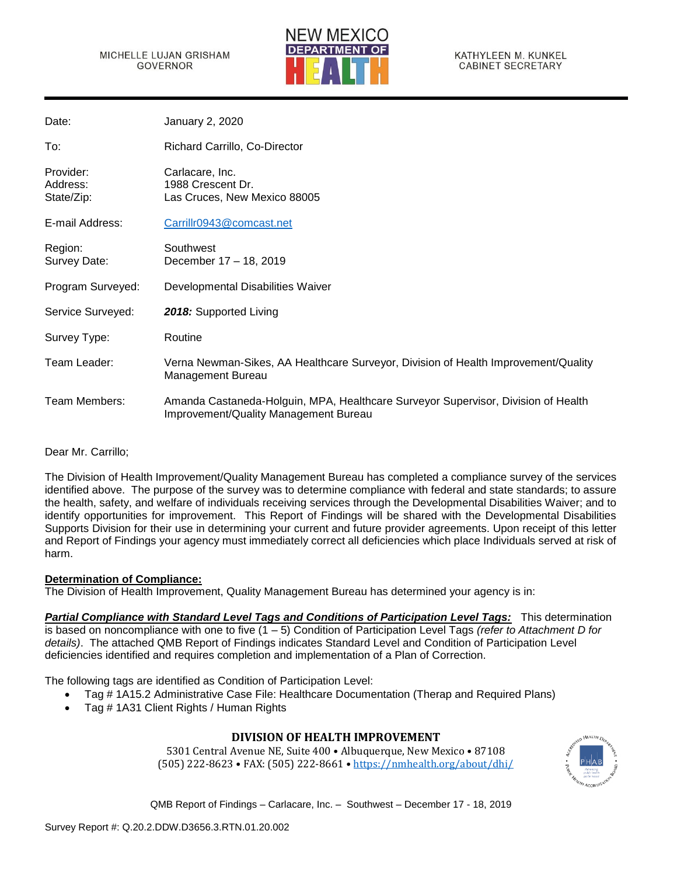### MICHELLE LUJAN GRISHAM **GOVERNOR**



KATHYLEEN M. KUNKEL **CABINET SECRETARY** 

| Date:                               | January 2, 2020                                                                                                            |
|-------------------------------------|----------------------------------------------------------------------------------------------------------------------------|
| To:                                 | Richard Carrillo, Co-Director                                                                                              |
| Provider:<br>Address:<br>State/Zip: | Carlacare, Inc.<br>1988 Crescent Dr.<br>Las Cruces, New Mexico 88005                                                       |
| E-mail Address:                     | Carrillr0943@comcast.net                                                                                                   |
| Region:<br>Survey Date:             | Southwest<br>December 17 - 18, 2019                                                                                        |
| Program Surveyed:                   | Developmental Disabilities Waiver                                                                                          |
| Service Surveyed:                   | 2018: Supported Living                                                                                                     |
| Survey Type:                        | Routine                                                                                                                    |
| Team Leader:                        | Verna Newman-Sikes, AA Healthcare Surveyor, Division of Health Improvement/Quality<br>Management Bureau                    |
| Team Members:                       | Amanda Castaneda-Holguin, MPA, Healthcare Surveyor Supervisor, Division of Health<br>Improvement/Quality Management Bureau |

Dear Mr. Carrillo;

The Division of Health Improvement/Quality Management Bureau has completed a compliance survey of the services identified above. The purpose of the survey was to determine compliance with federal and state standards; to assure the health, safety, and welfare of individuals receiving services through the Developmental Disabilities Waiver; and to identify opportunities for improvement. This Report of Findings will be shared with the Developmental Disabilities Supports Division for their use in determining your current and future provider agreements. Upon receipt of this letter and Report of Findings your agency must immediately correct all deficiencies which place Individuals served at risk of harm.

## **Determination of Compliance:**

The Division of Health Improvement, Quality Management Bureau has determined your agency is in:

*Partial Compliance with Standard Level Tags and Conditions of Participation Level Tags:* This determination is based on noncompliance with one to five (1 – 5) Condition of Participation Level Tags *(refer to Attachment D for details)*. The attached QMB Report of Findings indicates Standard Level and Condition of Participation Level deficiencies identified and requires completion and implementation of a Plan of Correction.

The following tags are identified as Condition of Participation Level:

- Tag # 1A15.2 Administrative Case File: Healthcare Documentation (Therap and Required Plans)
- Tag # 1A31 Client Rights / Human Rights

# **DIVISION OF HEALTH IMPROVEMENT**

5301 Central Avenue NE, Suite 400 • Albuquerque, New Mexico • 87108 (505) 222-8623 • FAX: (505) 222-8661 • <https://nmhealth.org/about/dhi/>

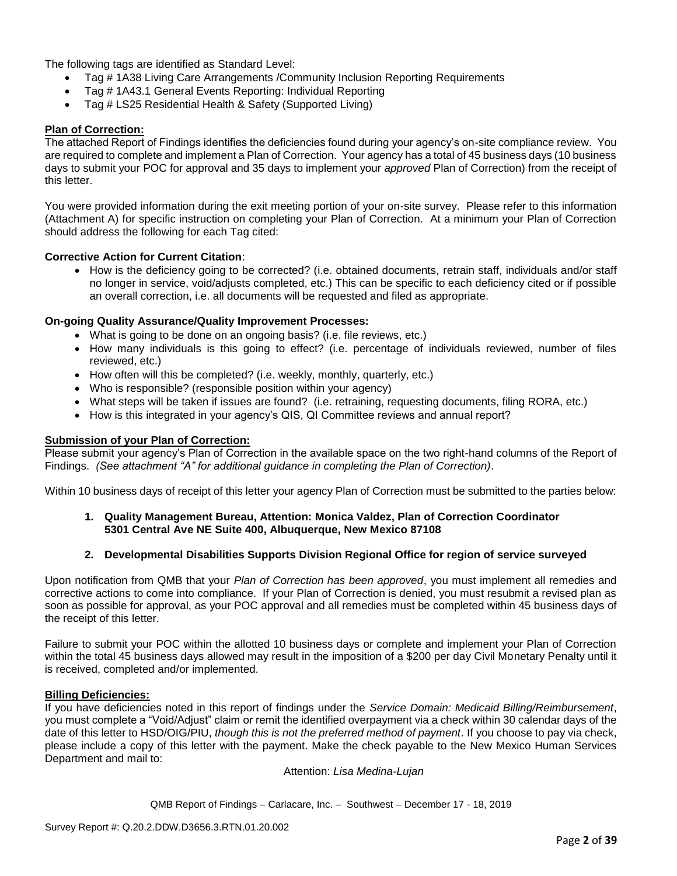The following tags are identified as Standard Level:

- Tag # 1A38 Living Care Arrangements / Community Inclusion Reporting Requirements
- Tag # 1A43.1 General Events Reporting: Individual Reporting
- Tag # LS25 Residential Health & Safety (Supported Living)

### **Plan of Correction:**

The attached Report of Findings identifies the deficiencies found during your agency's on-site compliance review. You are required to complete and implement a Plan of Correction. Your agency has a total of 45 business days (10 business days to submit your POC for approval and 35 days to implement your *approved* Plan of Correction) from the receipt of this letter.

You were provided information during the exit meeting portion of your on-site survey. Please refer to this information (Attachment A) for specific instruction on completing your Plan of Correction. At a minimum your Plan of Correction should address the following for each Tag cited:

### **Corrective Action for Current Citation**:

• How is the deficiency going to be corrected? (i.e. obtained documents, retrain staff, individuals and/or staff no longer in service, void/adjusts completed, etc.) This can be specific to each deficiency cited or if possible an overall correction, i.e. all documents will be requested and filed as appropriate.

### **On-going Quality Assurance/Quality Improvement Processes:**

- What is going to be done on an ongoing basis? (i.e. file reviews, etc.)
- How many individuals is this going to effect? (i.e. percentage of individuals reviewed, number of files reviewed, etc.)
- How often will this be completed? (i.e. weekly, monthly, quarterly, etc.)
- Who is responsible? (responsible position within your agency)
- What steps will be taken if issues are found? (i.e. retraining, requesting documents, filing RORA, etc.)
- How is this integrated in your agency's QIS, QI Committee reviews and annual report?

### **Submission of your Plan of Correction:**

Please submit your agency's Plan of Correction in the available space on the two right-hand columns of the Report of Findings. *(See attachment "A" for additional guidance in completing the Plan of Correction)*.

Within 10 business days of receipt of this letter your agency Plan of Correction must be submitted to the parties below:

### **1. Quality Management Bureau, Attention: Monica Valdez, Plan of Correction Coordinator 5301 Central Ave NE Suite 400, Albuquerque, New Mexico 87108**

### **2. Developmental Disabilities Supports Division Regional Office for region of service surveyed**

Upon notification from QMB that your *Plan of Correction has been approved*, you must implement all remedies and corrective actions to come into compliance. If your Plan of Correction is denied, you must resubmit a revised plan as soon as possible for approval, as your POC approval and all remedies must be completed within 45 business days of the receipt of this letter.

Failure to submit your POC within the allotted 10 business days or complete and implement your Plan of Correction within the total 45 business days allowed may result in the imposition of a \$200 per day Civil Monetary Penalty until it is received, completed and/or implemented.

### **Billing Deficiencies:**

If you have deficiencies noted in this report of findings under the *Service Domain: Medicaid Billing/Reimbursement*, you must complete a "Void/Adjust" claim or remit the identified overpayment via a check within 30 calendar days of the date of this letter to HSD/OIG/PIU, *though this is not the preferred method of payment*. If you choose to pay via check, please include a copy of this letter with the payment. Make the check payable to the New Mexico Human Services Department and mail to:

Attention: *Lisa Medina-Lujan*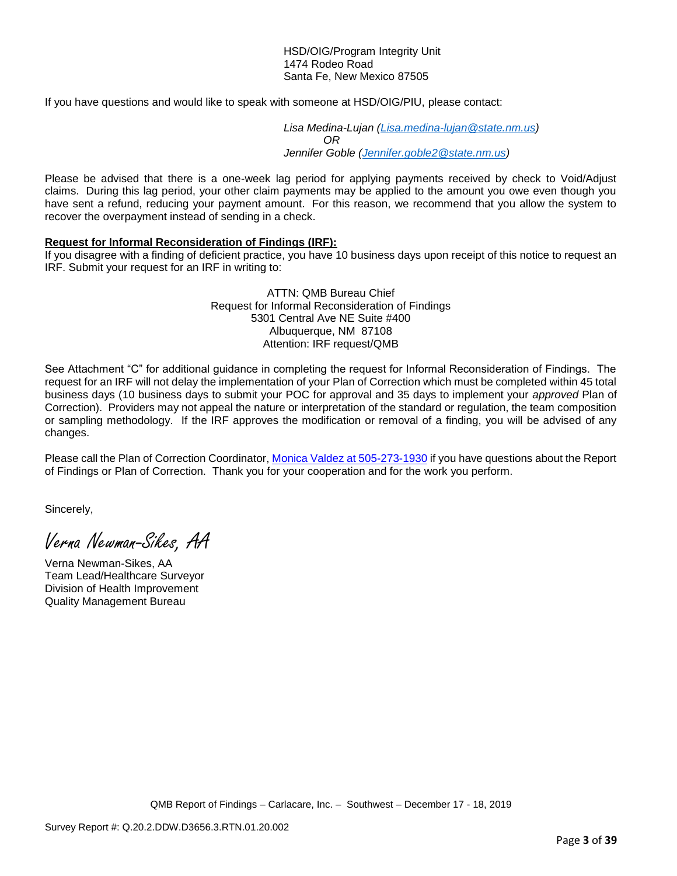#### HSD/OIG/Program Integrity Unit 1474 Rodeo Road Santa Fe, New Mexico 87505

If you have questions and would like to speak with someone at HSD/OIG/PIU, please contact:

*Lisa Medina-Lujan [\(Lisa.medina-lujan@state.nm.us\)](mailto:Lisa.medina-lujan@state.nm.us) OR Jennifer Goble [\(Jennifer.goble2@state.nm.us\)](mailto:Jennifer.goble2@state.nm.us)*

Please be advised that there is a one-week lag period for applying payments received by check to Void/Adjust claims. During this lag period, your other claim payments may be applied to the amount you owe even though you have sent a refund, reducing your payment amount. For this reason, we recommend that you allow the system to recover the overpayment instead of sending in a check.

### **Request for Informal Reconsideration of Findings (IRF):**

If you disagree with a finding of deficient practice, you have 10 business days upon receipt of this notice to request an IRF. Submit your request for an IRF in writing to:

#### ATTN: QMB Bureau Chief Request for Informal Reconsideration of Findings 5301 Central Ave NE Suite #400 Albuquerque, NM 87108 Attention: IRF request/QMB

See Attachment "C" for additional guidance in completing the request for Informal Reconsideration of Findings. The request for an IRF will not delay the implementation of your Plan of Correction which must be completed within 45 total business days (10 business days to submit your POC for approval and 35 days to implement your *approved* Plan of Correction). Providers may not appeal the nature or interpretation of the standard or regulation, the team composition or sampling methodology. If the IRF approves the modification or removal of a finding, you will be advised of any changes.

Please call the Plan of Correction Coordinator, Monica Valdez at 505-273-1930 if you have questions about the Report of Findings or Plan of Correction. Thank you for your cooperation and for the work you perform.

Sincerely,

Verna Newman-Sikes, AA

Verna Newman-Sikes, AA Team Lead/Healthcare Surveyor Division of Health Improvement Quality Management Bureau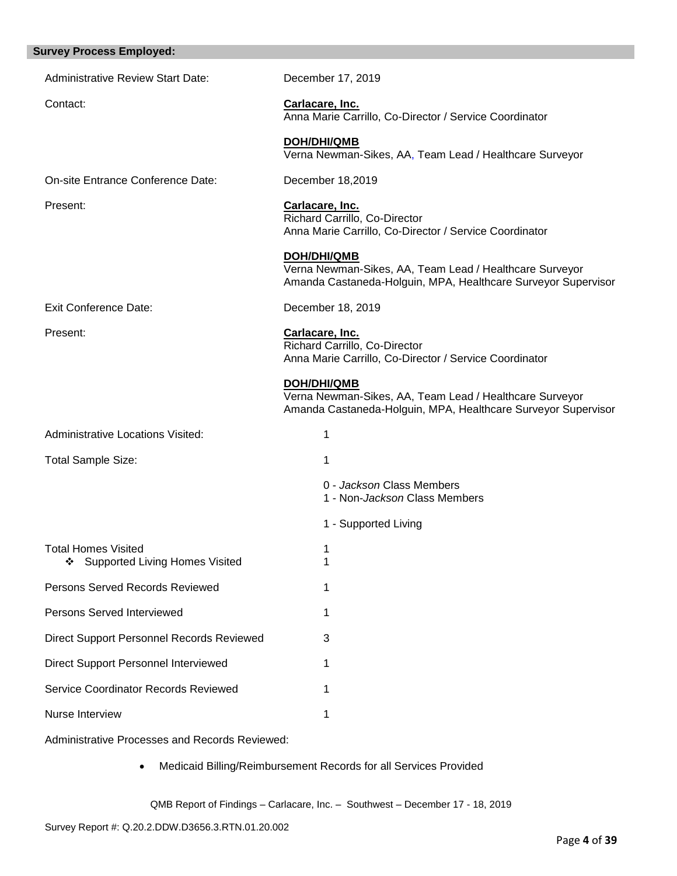| <b>Survey Process Employed:</b>                                |                                                                                                                                         |
|----------------------------------------------------------------|-----------------------------------------------------------------------------------------------------------------------------------------|
| <b>Administrative Review Start Date:</b>                       | December 17, 2019                                                                                                                       |
| Contact:                                                       | Carlacare, Inc.<br>Anna Marie Carrillo, Co-Director / Service Coordinator                                                               |
|                                                                | <b>DOH/DHI/QMB</b><br>Verna Newman-Sikes, AA, Team Lead / Healthcare Surveyor                                                           |
| On-site Entrance Conference Date:                              | December 18,2019                                                                                                                        |
| Present:                                                       | Carlacare, Inc.<br>Richard Carrillo, Co-Director<br>Anna Marie Carrillo, Co-Director / Service Coordinator                              |
|                                                                | DOH/DHI/QMB<br>Verna Newman-Sikes, AA, Team Lead / Healthcare Surveyor<br>Amanda Castaneda-Holguin, MPA, Healthcare Surveyor Supervisor |
| <b>Exit Conference Date:</b>                                   | December 18, 2019                                                                                                                       |
| Present:                                                       | Carlacare, Inc.<br>Richard Carrillo, Co-Director<br>Anna Marie Carrillo, Co-Director / Service Coordinator                              |
|                                                                | DOH/DHI/QMB<br>Verna Newman-Sikes, AA, Team Lead / Healthcare Surveyor<br>Amanda Castaneda-Holguin, MPA, Healthcare Surveyor Supervisor |
| <b>Administrative Locations Visited:</b>                       | 1                                                                                                                                       |
| Total Sample Size:                                             | 1                                                                                                                                       |
|                                                                | 0 - Jackson Class Members<br>1 - Non-Jackson Class Members                                                                              |
|                                                                | 1 - Supported Living                                                                                                                    |
| <b>Total Homes Visited</b><br>❖ Supported Living Homes Visited | 1<br>1                                                                                                                                  |
| Persons Served Records Reviewed                                | 1                                                                                                                                       |
| Persons Served Interviewed                                     | 1                                                                                                                                       |
| <b>Direct Support Personnel Records Reviewed</b>               | 3                                                                                                                                       |
| Direct Support Personnel Interviewed                           | 1                                                                                                                                       |
| Service Coordinator Records Reviewed                           | 1                                                                                                                                       |
| Nurse Interview                                                | 1                                                                                                                                       |
| Administrative Processes and Peserde Peviewed                  |                                                                                                                                         |

Administrative Processes and Records Reviewed:

• Medicaid Billing/Reimbursement Records for all Services Provided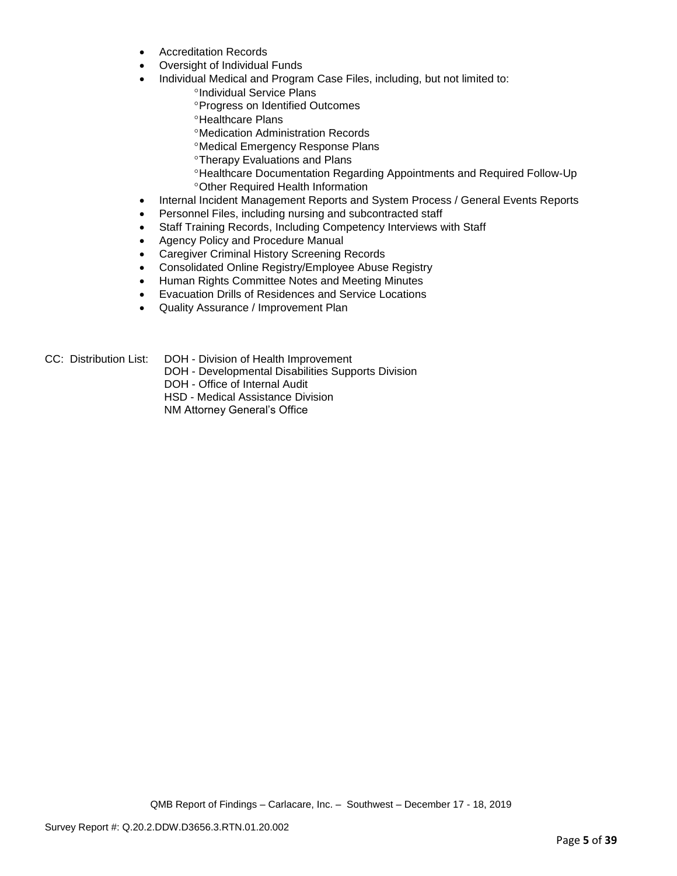- Accreditation Records
- Oversight of Individual Funds
- Individual Medical and Program Case Files, including, but not limited to:
	- <sup>o</sup>Individual Service Plans
	- Progress on Identified Outcomes
	- **<sup>o</sup>Healthcare Plans**
	- Medication Administration Records
	- Medical Emergency Response Plans
	- Therapy Evaluations and Plans
	- Healthcare Documentation Regarding Appointments and Required Follow-Up Other Required Health Information
- Internal Incident Management Reports and System Process / General Events Reports
- Personnel Files, including nursing and subcontracted staff
- Staff Training Records, Including Competency Interviews with Staff
- Agency Policy and Procedure Manual
- Caregiver Criminal History Screening Records
- Consolidated Online Registry/Employee Abuse Registry
- Human Rights Committee Notes and Meeting Minutes
- Evacuation Drills of Residences and Service Locations
- Quality Assurance / Improvement Plan
- CC: Distribution List: DOH Division of Health Improvement
	- DOH Developmental Disabilities Supports Division

DOH - Office of Internal Audit

HSD - Medical Assistance Division

NM Attorney General's Office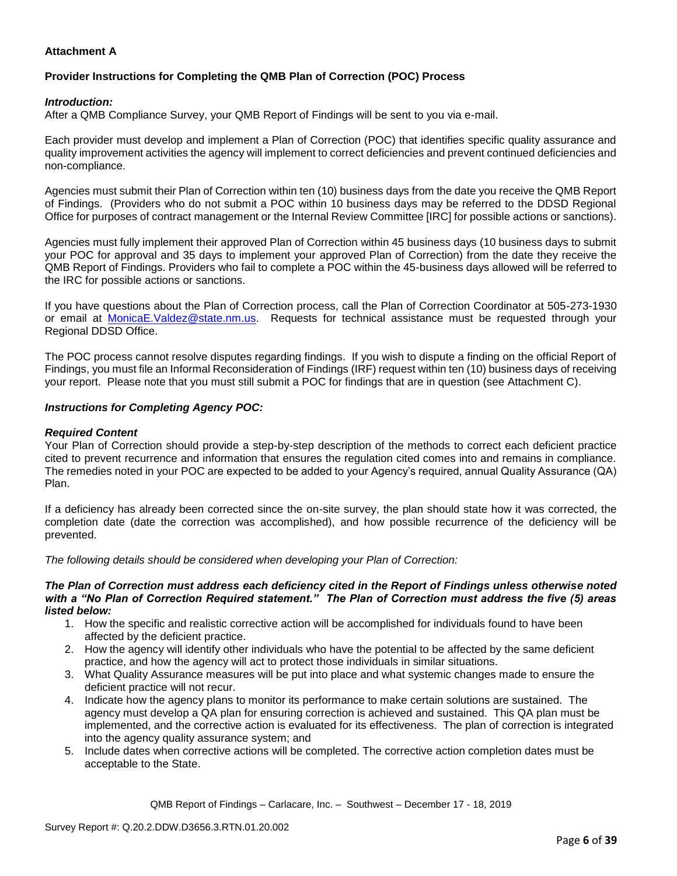## **Attachment A**

# **Provider Instructions for Completing the QMB Plan of Correction (POC) Process**

### *Introduction:*

After a QMB Compliance Survey, your QMB Report of Findings will be sent to you via e-mail.

Each provider must develop and implement a Plan of Correction (POC) that identifies specific quality assurance and quality improvement activities the agency will implement to correct deficiencies and prevent continued deficiencies and non-compliance.

Agencies must submit their Plan of Correction within ten (10) business days from the date you receive the QMB Report of Findings. (Providers who do not submit a POC within 10 business days may be referred to the DDSD Regional Office for purposes of contract management or the Internal Review Committee [IRC] for possible actions or sanctions).

Agencies must fully implement their approved Plan of Correction within 45 business days (10 business days to submit your POC for approval and 35 days to implement your approved Plan of Correction) from the date they receive the QMB Report of Findings. Providers who fail to complete a POC within the 45-business days allowed will be referred to the IRC for possible actions or sanctions.

If you have questions about the Plan of Correction process, call the Plan of Correction Coordinator at 505-273-1930 or email at [MonicaE.Valdez@state.nm.us.](mailto:MonicaE.Valdez@state.nm.us) Requests for technical assistance must be requested through your Regional DDSD Office.

The POC process cannot resolve disputes regarding findings. If you wish to dispute a finding on the official Report of Findings, you must file an Informal Reconsideration of Findings (IRF) request within ten (10) business days of receiving your report. Please note that you must still submit a POC for findings that are in question (see Attachment C).

### *Instructions for Completing Agency POC:*

### *Required Content*

Your Plan of Correction should provide a step-by-step description of the methods to correct each deficient practice cited to prevent recurrence and information that ensures the regulation cited comes into and remains in compliance. The remedies noted in your POC are expected to be added to your Agency's required, annual Quality Assurance (QA) Plan.

If a deficiency has already been corrected since the on-site survey, the plan should state how it was corrected, the completion date (date the correction was accomplished), and how possible recurrence of the deficiency will be prevented.

*The following details should be considered when developing your Plan of Correction:*

#### *The Plan of Correction must address each deficiency cited in the Report of Findings unless otherwise noted with a "No Plan of Correction Required statement." The Plan of Correction must address the five (5) areas listed below:*

- 1. How the specific and realistic corrective action will be accomplished for individuals found to have been affected by the deficient practice.
- 2. How the agency will identify other individuals who have the potential to be affected by the same deficient practice, and how the agency will act to protect those individuals in similar situations.
- 3. What Quality Assurance measures will be put into place and what systemic changes made to ensure the deficient practice will not recur.
- 4. Indicate how the agency plans to monitor its performance to make certain solutions are sustained. The agency must develop a QA plan for ensuring correction is achieved and sustained. This QA plan must be implemented, and the corrective action is evaluated for its effectiveness. The plan of correction is integrated into the agency quality assurance system; and
- 5. Include dates when corrective actions will be completed. The corrective action completion dates must be acceptable to the State.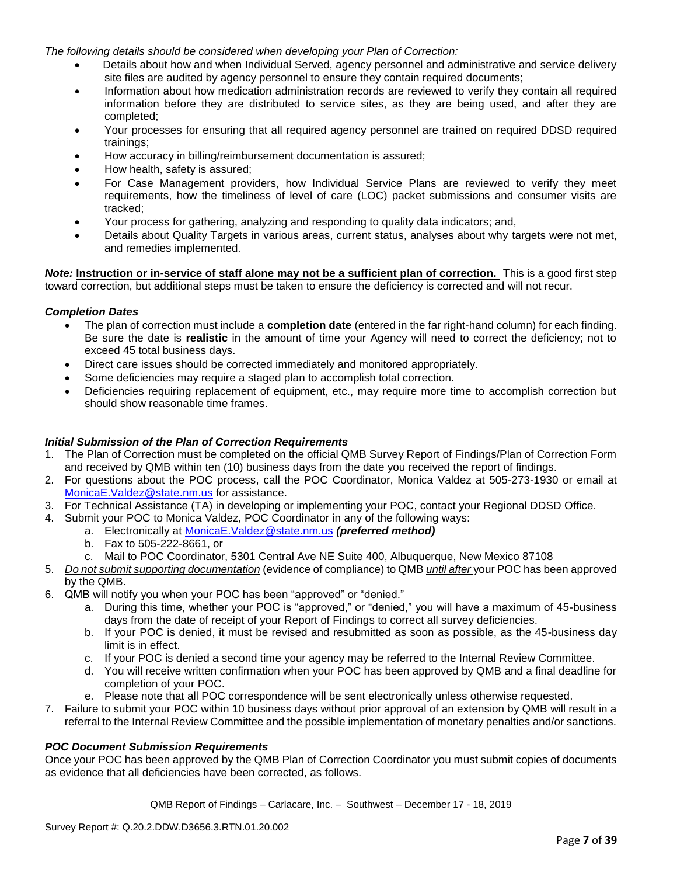*The following details should be considered when developing your Plan of Correction:*

- Details about how and when Individual Served, agency personnel and administrative and service delivery site files are audited by agency personnel to ensure they contain required documents;
- Information about how medication administration records are reviewed to verify they contain all required information before they are distributed to service sites, as they are being used, and after they are completed;
- Your processes for ensuring that all required agency personnel are trained on required DDSD required trainings;
- How accuracy in billing/reimbursement documentation is assured;
- How health, safety is assured;
- For Case Management providers, how Individual Service Plans are reviewed to verify they meet requirements, how the timeliness of level of care (LOC) packet submissions and consumer visits are tracked;
- Your process for gathering, analyzing and responding to quality data indicators; and,
- Details about Quality Targets in various areas, current status, analyses about why targets were not met, and remedies implemented.

*Note:* **Instruction or in-service of staff alone may not be a sufficient plan of correction.** This is a good first step toward correction, but additional steps must be taken to ensure the deficiency is corrected and will not recur.

## *Completion Dates*

- The plan of correction must include a **completion date** (entered in the far right-hand column) for each finding. Be sure the date is **realistic** in the amount of time your Agency will need to correct the deficiency; not to exceed 45 total business days.
- Direct care issues should be corrected immediately and monitored appropriately.
- Some deficiencies may require a staged plan to accomplish total correction.
- Deficiencies requiring replacement of equipment, etc., may require more time to accomplish correction but should show reasonable time frames.

### *Initial Submission of the Plan of Correction Requirements*

- 1. The Plan of Correction must be completed on the official QMB Survey Report of Findings/Plan of Correction Form and received by QMB within ten (10) business days from the date you received the report of findings.
- 2. For questions about the POC process, call the POC Coordinator, Monica Valdez at 505-273-1930 or email at [MonicaE.Valdez@state.nm.us](mailto:MonicaE.Valdez@state.nm.us) for assistance.
- 3. For Technical Assistance (TA) in developing or implementing your POC, contact your Regional DDSD Office.
- 4. Submit your POC to Monica Valdez, POC Coordinator in any of the following ways:
	- a. Electronically at [MonicaE.Valdez@state.nm.us](mailto:MonicaE.Valdez@state.nm.us) *(preferred method)*
	- b. Fax to 505-222-8661, or
	- c. Mail to POC Coordinator, 5301 Central Ave NE Suite 400, Albuquerque, New Mexico 87108
- 5. *Do not submit supporting documentation* (evidence of compliance) to QMB *until after* your POC has been approved by the QMB.
- 6. QMB will notify you when your POC has been "approved" or "denied."
	- a. During this time, whether your POC is "approved," or "denied," you will have a maximum of 45-business days from the date of receipt of your Report of Findings to correct all survey deficiencies.
	- b. If your POC is denied, it must be revised and resubmitted as soon as possible, as the 45-business day limit is in effect.
	- c. If your POC is denied a second time your agency may be referred to the Internal Review Committee.
	- d. You will receive written confirmation when your POC has been approved by QMB and a final deadline for completion of your POC.
	- e. Please note that all POC correspondence will be sent electronically unless otherwise requested.
- 7. Failure to submit your POC within 10 business days without prior approval of an extension by QMB will result in a referral to the Internal Review Committee and the possible implementation of monetary penalties and/or sanctions.

## *POC Document Submission Requirements*

Once your POC has been approved by the QMB Plan of Correction Coordinator you must submit copies of documents as evidence that all deficiencies have been corrected, as follows.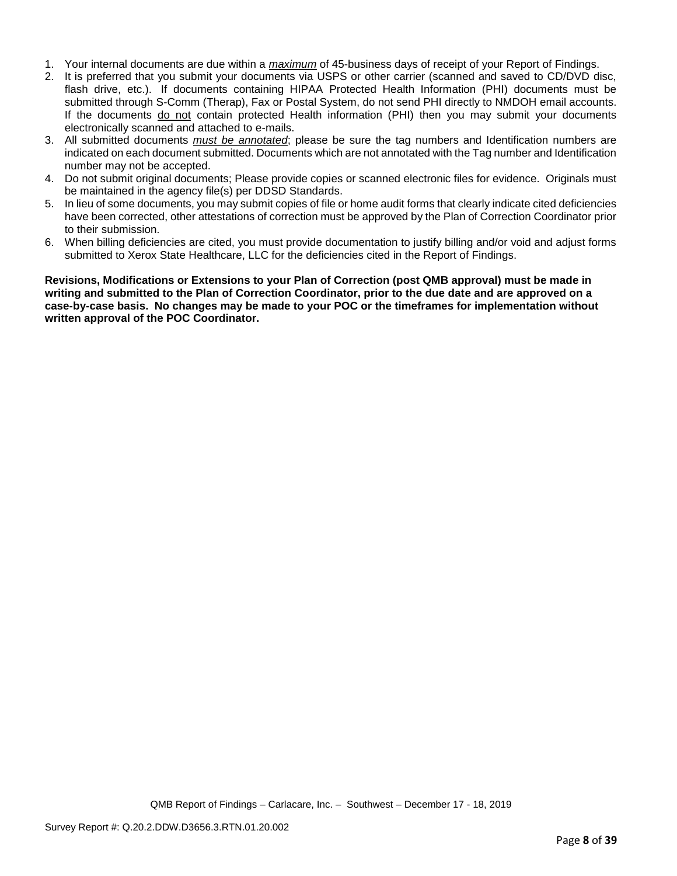- 1. Your internal documents are due within a *maximum* of 45-business days of receipt of your Report of Findings.
- 2. It is preferred that you submit your documents via USPS or other carrier (scanned and saved to CD/DVD disc, flash drive, etc.). If documents containing HIPAA Protected Health Information (PHI) documents must be submitted through S-Comm (Therap), Fax or Postal System, do not send PHI directly to NMDOH email accounts. If the documents do not contain protected Health information (PHI) then you may submit your documents electronically scanned and attached to e-mails.
- 3. All submitted documents *must be annotated*; please be sure the tag numbers and Identification numbers are indicated on each document submitted. Documents which are not annotated with the Tag number and Identification number may not be accepted.
- 4. Do not submit original documents; Please provide copies or scanned electronic files for evidence. Originals must be maintained in the agency file(s) per DDSD Standards.
- 5. In lieu of some documents, you may submit copies of file or home audit forms that clearly indicate cited deficiencies have been corrected, other attestations of correction must be approved by the Plan of Correction Coordinator prior to their submission.
- 6. When billing deficiencies are cited, you must provide documentation to justify billing and/or void and adjust forms submitted to Xerox State Healthcare, LLC for the deficiencies cited in the Report of Findings.

**Revisions, Modifications or Extensions to your Plan of Correction (post QMB approval) must be made in writing and submitted to the Plan of Correction Coordinator, prior to the due date and are approved on a case-by-case basis. No changes may be made to your POC or the timeframes for implementation without written approval of the POC Coordinator.**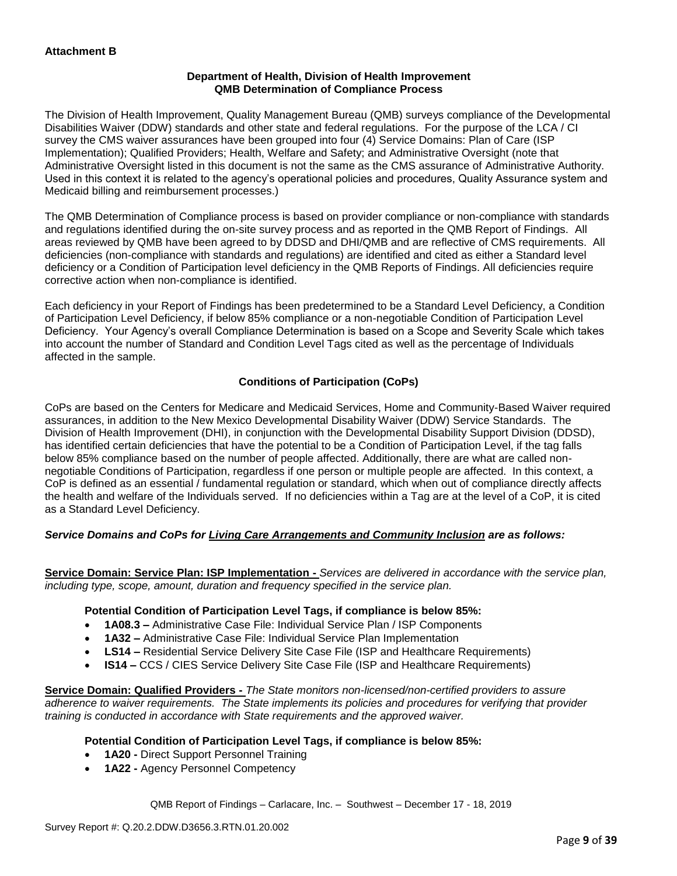### **Department of Health, Division of Health Improvement QMB Determination of Compliance Process**

The Division of Health Improvement, Quality Management Bureau (QMB) surveys compliance of the Developmental Disabilities Waiver (DDW) standards and other state and federal regulations. For the purpose of the LCA / CI survey the CMS waiver assurances have been grouped into four (4) Service Domains: Plan of Care (ISP Implementation); Qualified Providers; Health, Welfare and Safety; and Administrative Oversight (note that Administrative Oversight listed in this document is not the same as the CMS assurance of Administrative Authority. Used in this context it is related to the agency's operational policies and procedures, Quality Assurance system and Medicaid billing and reimbursement processes.)

The QMB Determination of Compliance process is based on provider compliance or non-compliance with standards and regulations identified during the on-site survey process and as reported in the QMB Report of Findings. All areas reviewed by QMB have been agreed to by DDSD and DHI/QMB and are reflective of CMS requirements. All deficiencies (non-compliance with standards and regulations) are identified and cited as either a Standard level deficiency or a Condition of Participation level deficiency in the QMB Reports of Findings. All deficiencies require corrective action when non-compliance is identified.

Each deficiency in your Report of Findings has been predetermined to be a Standard Level Deficiency, a Condition of Participation Level Deficiency, if below 85% compliance or a non-negotiable Condition of Participation Level Deficiency. Your Agency's overall Compliance Determination is based on a Scope and Severity Scale which takes into account the number of Standard and Condition Level Tags cited as well as the percentage of Individuals affected in the sample.

## **Conditions of Participation (CoPs)**

CoPs are based on the Centers for Medicare and Medicaid Services, Home and Community-Based Waiver required assurances, in addition to the New Mexico Developmental Disability Waiver (DDW) Service Standards. The Division of Health Improvement (DHI), in conjunction with the Developmental Disability Support Division (DDSD), has identified certain deficiencies that have the potential to be a Condition of Participation Level, if the tag falls below 85% compliance based on the number of people affected. Additionally, there are what are called nonnegotiable Conditions of Participation, regardless if one person or multiple people are affected. In this context, a CoP is defined as an essential / fundamental regulation or standard, which when out of compliance directly affects the health and welfare of the Individuals served. If no deficiencies within a Tag are at the level of a CoP, it is cited as a Standard Level Deficiency.

## *Service Domains and CoPs for Living Care Arrangements and Community Inclusion are as follows:*

**Service Domain: Service Plan: ISP Implementation -** *Services are delivered in accordance with the service plan, including type, scope, amount, duration and frequency specified in the service plan.*

### **Potential Condition of Participation Level Tags, if compliance is below 85%:**

- **1A08.3 –** Administrative Case File: Individual Service Plan / ISP Components
- **1A32 –** Administrative Case File: Individual Service Plan Implementation
- **LS14 –** Residential Service Delivery Site Case File (ISP and Healthcare Requirements)
- **IS14 –** CCS / CIES Service Delivery Site Case File (ISP and Healthcare Requirements)

**Service Domain: Qualified Providers -** *The State monitors non-licensed/non-certified providers to assure adherence to waiver requirements. The State implements its policies and procedures for verifying that provider training is conducted in accordance with State requirements and the approved waiver.*

### **Potential Condition of Participation Level Tags, if compliance is below 85%:**

- **1A20 -** Direct Support Personnel Training
- **1A22 -** Agency Personnel Competency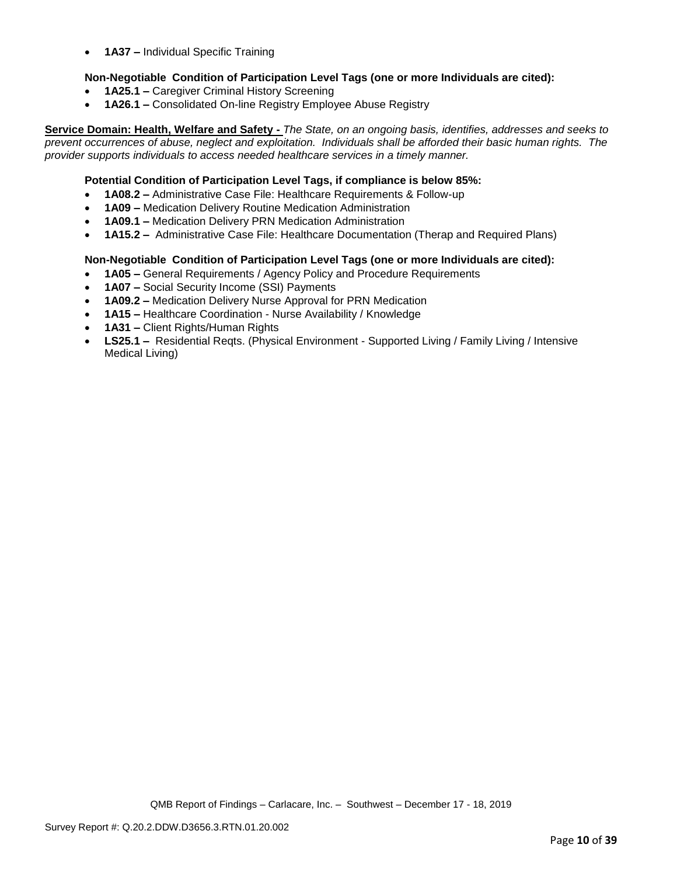• **1A37 –** Individual Specific Training

### **Non-Negotiable Condition of Participation Level Tags (one or more Individuals are cited):**

- **1A25.1 –** Caregiver Criminal History Screening
- **1A26.1 –** Consolidated On-line Registry Employee Abuse Registry

**Service Domain: Health, Welfare and Safety -** *The State, on an ongoing basis, identifies, addresses and seeks to prevent occurrences of abuse, neglect and exploitation. Individuals shall be afforded their basic human rights. The provider supports individuals to access needed healthcare services in a timely manner.*

### **Potential Condition of Participation Level Tags, if compliance is below 85%:**

- **1A08.2 –** Administrative Case File: Healthcare Requirements & Follow-up
- **1A09 –** Medication Delivery Routine Medication Administration
- **1A09.1 –** Medication Delivery PRN Medication Administration
- **1A15.2 –** Administrative Case File: Healthcare Documentation (Therap and Required Plans)

### **Non-Negotiable Condition of Participation Level Tags (one or more Individuals are cited):**

- **1A05 –** General Requirements / Agency Policy and Procedure Requirements
- **1A07 –** Social Security Income (SSI) Payments
- **1A09.2 –** Medication Delivery Nurse Approval for PRN Medication
- **1A15 –** Healthcare Coordination Nurse Availability / Knowledge
- **1A31 –** Client Rights/Human Rights
- **LS25.1 –** Residential Reqts. (Physical Environment Supported Living / Family Living / Intensive Medical Living)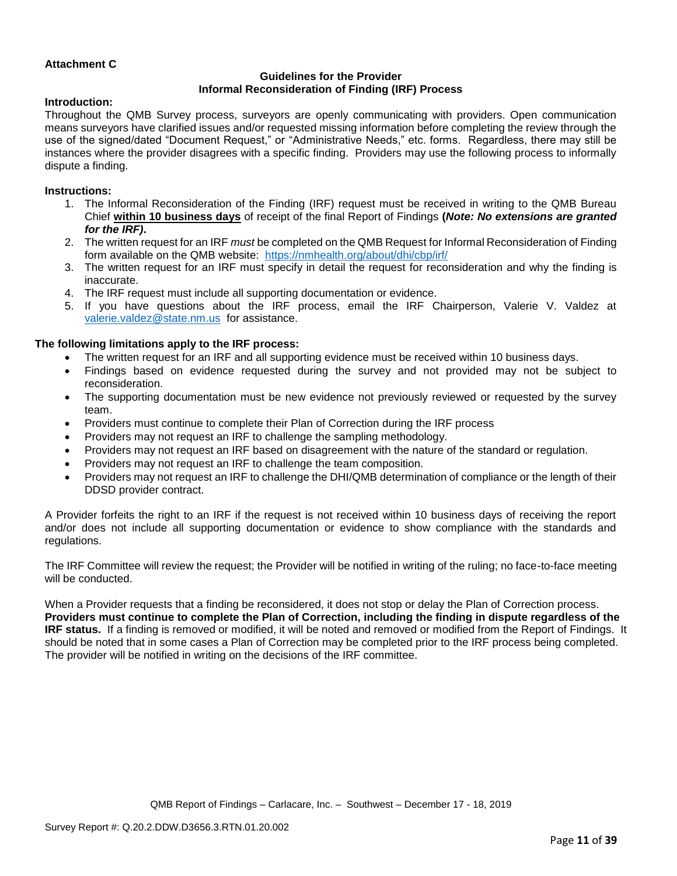### **Attachment C**

## **Guidelines for the Provider Informal Reconsideration of Finding (IRF) Process**

### **Introduction:**

Throughout the QMB Survey process, surveyors are openly communicating with providers. Open communication means surveyors have clarified issues and/or requested missing information before completing the review through the use of the signed/dated "Document Request," or "Administrative Needs," etc. forms. Regardless, there may still be instances where the provider disagrees with a specific finding. Providers may use the following process to informally dispute a finding.

#### **Instructions:**

- 1. The Informal Reconsideration of the Finding (IRF) request must be received in writing to the QMB Bureau Chief **within 10 business days** of receipt of the final Report of Findings **(***Note: No extensions are granted for the IRF)***.**
- 2. The written request for an IRF *must* be completed on the QMB Request for Informal Reconsideration of Finding form available on the QMB website: <https://nmhealth.org/about/dhi/cbp/irf/>
- 3. The written request for an IRF must specify in detail the request for reconsideration and why the finding is inaccurate.
- 4. The IRF request must include all supporting documentation or evidence.
- 5. If you have questions about the IRF process, email the IRF Chairperson, Valerie V. Valdez at [valerie.valdez@state.nm.us](mailto:valerie.valdez@state.nm.us) for assistance.

#### **The following limitations apply to the IRF process:**

- The written request for an IRF and all supporting evidence must be received within 10 business days.
- Findings based on evidence requested during the survey and not provided may not be subject to reconsideration.
- The supporting documentation must be new evidence not previously reviewed or requested by the survey team.
- Providers must continue to complete their Plan of Correction during the IRF process
- Providers may not request an IRF to challenge the sampling methodology.
- Providers may not request an IRF based on disagreement with the nature of the standard or regulation.
- Providers may not request an IRF to challenge the team composition.
- Providers may not request an IRF to challenge the DHI/QMB determination of compliance or the length of their DDSD provider contract.

A Provider forfeits the right to an IRF if the request is not received within 10 business days of receiving the report and/or does not include all supporting documentation or evidence to show compliance with the standards and regulations.

The IRF Committee will review the request; the Provider will be notified in writing of the ruling; no face-to-face meeting will be conducted.

When a Provider requests that a finding be reconsidered, it does not stop or delay the Plan of Correction process. **Providers must continue to complete the Plan of Correction, including the finding in dispute regardless of the IRF status.** If a finding is removed or modified, it will be noted and removed or modified from the Report of Findings. It should be noted that in some cases a Plan of Correction may be completed prior to the IRF process being completed. The provider will be notified in writing on the decisions of the IRF committee.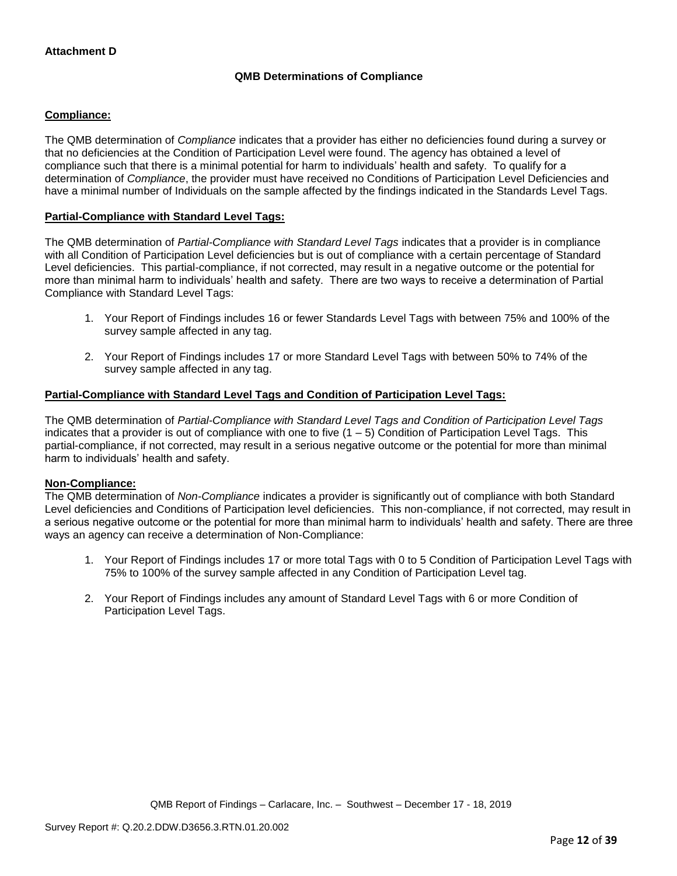## **QMB Determinations of Compliance**

### **Compliance:**

The QMB determination of *Compliance* indicates that a provider has either no deficiencies found during a survey or that no deficiencies at the Condition of Participation Level were found. The agency has obtained a level of compliance such that there is a minimal potential for harm to individuals' health and safety. To qualify for a determination of *Compliance*, the provider must have received no Conditions of Participation Level Deficiencies and have a minimal number of Individuals on the sample affected by the findings indicated in the Standards Level Tags.

### **Partial-Compliance with Standard Level Tags:**

The QMB determination of *Partial-Compliance with Standard Level Tags* indicates that a provider is in compliance with all Condition of Participation Level deficiencies but is out of compliance with a certain percentage of Standard Level deficiencies. This partial-compliance, if not corrected, may result in a negative outcome or the potential for more than minimal harm to individuals' health and safety. There are two ways to receive a determination of Partial Compliance with Standard Level Tags:

- 1. Your Report of Findings includes 16 or fewer Standards Level Tags with between 75% and 100% of the survey sample affected in any tag.
- 2. Your Report of Findings includes 17 or more Standard Level Tags with between 50% to 74% of the survey sample affected in any tag.

### **Partial-Compliance with Standard Level Tags and Condition of Participation Level Tags:**

The QMB determination of *Partial-Compliance with Standard Level Tags and Condition of Participation Level Tags*  indicates that a provider is out of compliance with one to five (1 – 5) Condition of Participation Level Tags. This partial-compliance, if not corrected, may result in a serious negative outcome or the potential for more than minimal harm to individuals' health and safety.

### **Non-Compliance:**

The QMB determination of *Non-Compliance* indicates a provider is significantly out of compliance with both Standard Level deficiencies and Conditions of Participation level deficiencies. This non-compliance, if not corrected, may result in a serious negative outcome or the potential for more than minimal harm to individuals' health and safety. There are three ways an agency can receive a determination of Non-Compliance:

- 1. Your Report of Findings includes 17 or more total Tags with 0 to 5 Condition of Participation Level Tags with 75% to 100% of the survey sample affected in any Condition of Participation Level tag.
- 2. Your Report of Findings includes any amount of Standard Level Tags with 6 or more Condition of Participation Level Tags.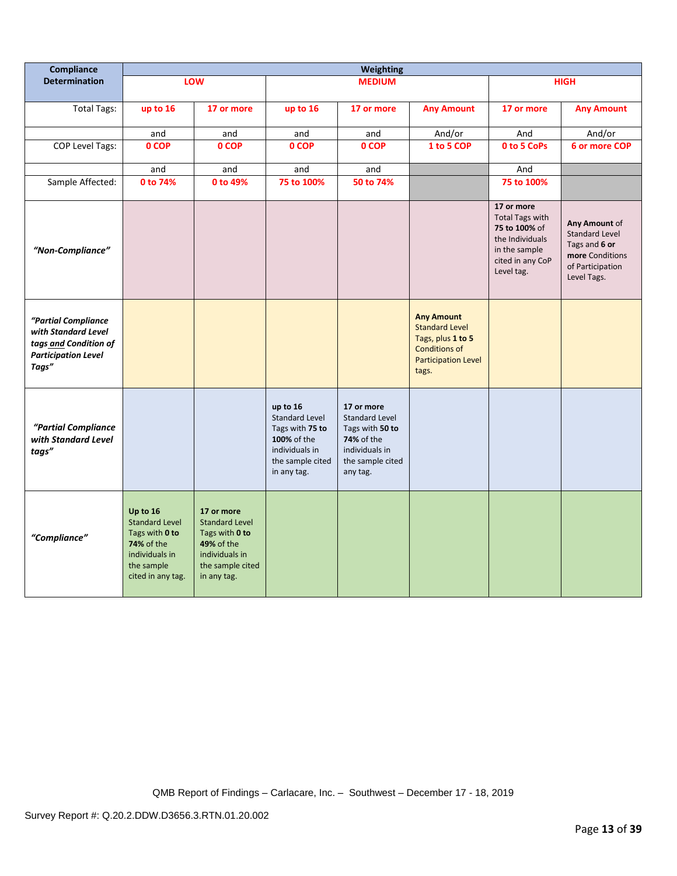| Compliance                                                                                                 | <b>Weighting</b>                                                                                                       |                                                                                                                          |                                                                                                                          |                                                                                                                        |                                                                                                                                |                                                                                                                             |                                                                                                               |
|------------------------------------------------------------------------------------------------------------|------------------------------------------------------------------------------------------------------------------------|--------------------------------------------------------------------------------------------------------------------------|--------------------------------------------------------------------------------------------------------------------------|------------------------------------------------------------------------------------------------------------------------|--------------------------------------------------------------------------------------------------------------------------------|-----------------------------------------------------------------------------------------------------------------------------|---------------------------------------------------------------------------------------------------------------|
| <b>Determination</b>                                                                                       |                                                                                                                        | LOW                                                                                                                      |                                                                                                                          | <b>MEDIUM</b>                                                                                                          |                                                                                                                                |                                                                                                                             | <b>HIGH</b>                                                                                                   |
| <b>Total Tags:</b>                                                                                         | up to 16                                                                                                               | 17 or more                                                                                                               | up to 16                                                                                                                 | 17 or more                                                                                                             | <b>Any Amount</b>                                                                                                              | 17 or more                                                                                                                  | <b>Any Amount</b>                                                                                             |
|                                                                                                            | and                                                                                                                    | and                                                                                                                      | and                                                                                                                      | and                                                                                                                    | And/or                                                                                                                         | And                                                                                                                         | And/or                                                                                                        |
| <b>COP Level Tags:</b>                                                                                     | 0 COP                                                                                                                  | 0 COP                                                                                                                    | 0 COP                                                                                                                    | 0 COP                                                                                                                  | 1 to 5 COP                                                                                                                     | 0 to 5 CoPs                                                                                                                 | 6 or more COP                                                                                                 |
|                                                                                                            | and                                                                                                                    | and                                                                                                                      | and                                                                                                                      | and                                                                                                                    |                                                                                                                                | And                                                                                                                         |                                                                                                               |
| Sample Affected:                                                                                           | 0 to 74%                                                                                                               | 0 to 49%                                                                                                                 | 75 to 100%                                                                                                               | 50 to 74%                                                                                                              |                                                                                                                                | 75 to 100%                                                                                                                  |                                                                                                               |
| "Non-Compliance"                                                                                           |                                                                                                                        |                                                                                                                          |                                                                                                                          |                                                                                                                        |                                                                                                                                | 17 or more<br><b>Total Tags with</b><br>75 to 100% of<br>the Individuals<br>in the sample<br>cited in any CoP<br>Level tag. | Any Amount of<br><b>Standard Level</b><br>Tags and 6 or<br>more Conditions<br>of Participation<br>Level Tags. |
| "Partial Compliance<br>with Standard Level<br>tags and Condition of<br><b>Participation Level</b><br>Tags" |                                                                                                                        |                                                                                                                          |                                                                                                                          |                                                                                                                        | <b>Any Amount</b><br><b>Standard Level</b><br>Tags, plus 1 to 5<br><b>Conditions of</b><br><b>Participation Level</b><br>tags. |                                                                                                                             |                                                                                                               |
| "Partial Compliance<br>with Standard Level<br>tags"                                                        |                                                                                                                        |                                                                                                                          | up to 16<br><b>Standard Level</b><br>Tags with 75 to<br>100% of the<br>individuals in<br>the sample cited<br>in any tag. | 17 or more<br>Standard Level<br>Tags with 50 to<br><b>74%</b> of the<br>individuals in<br>the sample cited<br>any tag. |                                                                                                                                |                                                                                                                             |                                                                                                               |
| "Compliance"                                                                                               | Up to 16<br><b>Standard Level</b><br>Tags with 0 to<br>74% of the<br>individuals in<br>the sample<br>cited in any tag. | 17 or more<br><b>Standard Level</b><br>Tags with 0 to<br>49% of the<br>individuals in<br>the sample cited<br>in any tag. |                                                                                                                          |                                                                                                                        |                                                                                                                                |                                                                                                                             |                                                                                                               |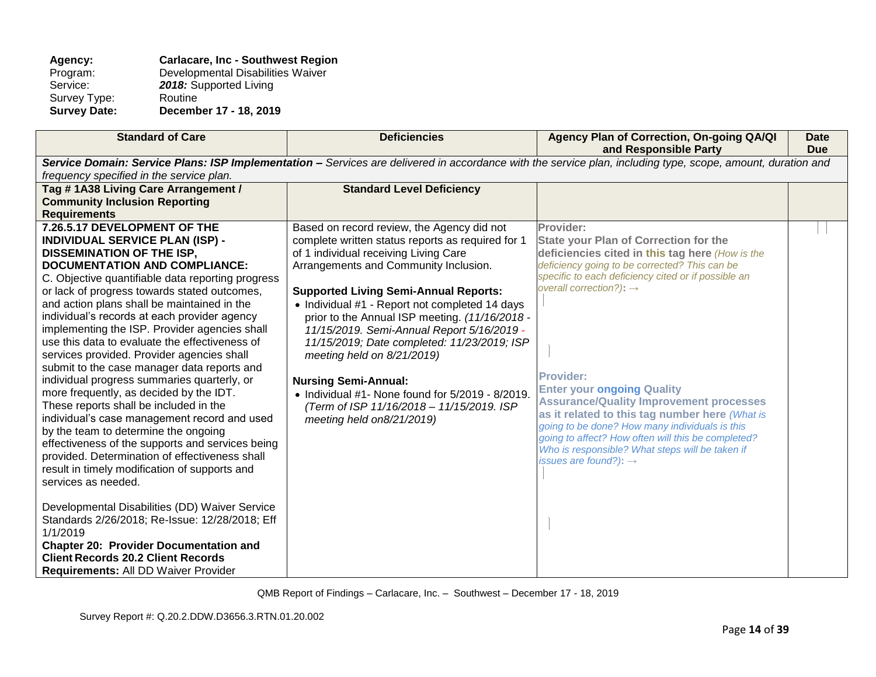### Agency: **Carlacare, Inc - Southwest Region**<br>
Program: Developmental Disabilities Waiver Program: Developmental Disabilities Waiver<br>Service: 2018: Supported Living 2018: Supported Living<br>Routine Survey Type:<br>Survey Date: **Survey Date: December 17 - 18, 2019**

| <b>Standard of Care</b>                                                                                                                                                                                                                                                                                                                                                                                                                                                                                                                                                                                                                                                                                                                                                                                                                                                                                                                                                                                                                                                                                                                                                                | <b>Deficiencies</b>                                                                                                                                                                                                                                                                                                                                                                                                                                                                                                                                                                     | Agency Plan of Correction, On-going QA/QI<br>and Responsible Party                                                                                                                                                                                                                                                                                                                                                                                                                                                                                                                                          | <b>Date</b><br><b>Due</b> |  |
|----------------------------------------------------------------------------------------------------------------------------------------------------------------------------------------------------------------------------------------------------------------------------------------------------------------------------------------------------------------------------------------------------------------------------------------------------------------------------------------------------------------------------------------------------------------------------------------------------------------------------------------------------------------------------------------------------------------------------------------------------------------------------------------------------------------------------------------------------------------------------------------------------------------------------------------------------------------------------------------------------------------------------------------------------------------------------------------------------------------------------------------------------------------------------------------|-----------------------------------------------------------------------------------------------------------------------------------------------------------------------------------------------------------------------------------------------------------------------------------------------------------------------------------------------------------------------------------------------------------------------------------------------------------------------------------------------------------------------------------------------------------------------------------------|-------------------------------------------------------------------------------------------------------------------------------------------------------------------------------------------------------------------------------------------------------------------------------------------------------------------------------------------------------------------------------------------------------------------------------------------------------------------------------------------------------------------------------------------------------------------------------------------------------------|---------------------------|--|
| Service Domain: Service Plans: ISP Implementation - Services are delivered in accordance with the service plan, including type, scope, amount, duration and                                                                                                                                                                                                                                                                                                                                                                                                                                                                                                                                                                                                                                                                                                                                                                                                                                                                                                                                                                                                                            |                                                                                                                                                                                                                                                                                                                                                                                                                                                                                                                                                                                         |                                                                                                                                                                                                                                                                                                                                                                                                                                                                                                                                                                                                             |                           |  |
| frequency specified in the service plan.<br>Tag #1A38 Living Care Arrangement /<br><b>Community Inclusion Reporting</b><br><b>Requirements</b><br>7.26.5.17 DEVELOPMENT OF THE                                                                                                                                                                                                                                                                                                                                                                                                                                                                                                                                                                                                                                                                                                                                                                                                                                                                                                                                                                                                         | <b>Standard Level Deficiency</b><br>Based on record review, the Agency did not                                                                                                                                                                                                                                                                                                                                                                                                                                                                                                          | Provider:                                                                                                                                                                                                                                                                                                                                                                                                                                                                                                                                                                                                   |                           |  |
| <b>INDIVIDUAL SERVICE PLAN (ISP) -</b><br><b>DISSEMINATION OF THE ISP,</b><br><b>DOCUMENTATION AND COMPLIANCE:</b><br>C. Objective quantifiable data reporting progress<br>or lack of progress towards stated outcomes,<br>and action plans shall be maintained in the<br>individual's records at each provider agency<br>implementing the ISP. Provider agencies shall<br>use this data to evaluate the effectiveness of<br>services provided. Provider agencies shall<br>submit to the case manager data reports and<br>individual progress summaries quarterly, or<br>more frequently, as decided by the IDT.<br>These reports shall be included in the<br>individual's case management record and used<br>by the team to determine the ongoing<br>effectiveness of the supports and services being<br>provided. Determination of effectiveness shall<br>result in timely modification of supports and<br>services as needed.<br>Developmental Disabilities (DD) Waiver Service<br>Standards 2/26/2018; Re-Issue: 12/28/2018; Eff<br>1/1/2019<br><b>Chapter 20: Provider Documentation and</b><br><b>Client Records 20.2 Client Records</b><br>Requirements: All DD Waiver Provider | complete written status reports as required for 1<br>of 1 individual receiving Living Care<br>Arrangements and Community Inclusion.<br><b>Supported Living Semi-Annual Reports:</b><br>• Individual #1 - Report not completed 14 days<br>prior to the Annual ISP meeting. (11/16/2018 -<br>11/15/2019. Semi-Annual Report 5/16/2019 -<br>11/15/2019; Date completed: 11/23/2019; ISP<br>meeting held on 8/21/2019)<br><b>Nursing Semi-Annual:</b><br>$\bullet$ Individual #1- None found for 5/2019 - 8/2019.<br>(Term of ISP 11/16/2018 - 11/15/2019. ISP<br>meeting held on8/21/2019) | <b>State your Plan of Correction for the</b><br>deficiencies cited in this tag here (How is the<br>deficiency going to be corrected? This can be<br>specific to each deficiency cited or if possible an<br>overall correction?): $\rightarrow$<br><b>Provider:</b><br><b>Enter your ongoing Quality</b><br><b>Assurance/Quality Improvement processes</b><br>as it related to this tag number here (What is<br>going to be done? How many individuals is this<br>going to affect? How often will this be completed?<br>Who is responsible? What steps will be taken if<br>issues are found?): $\rightarrow$ |                           |  |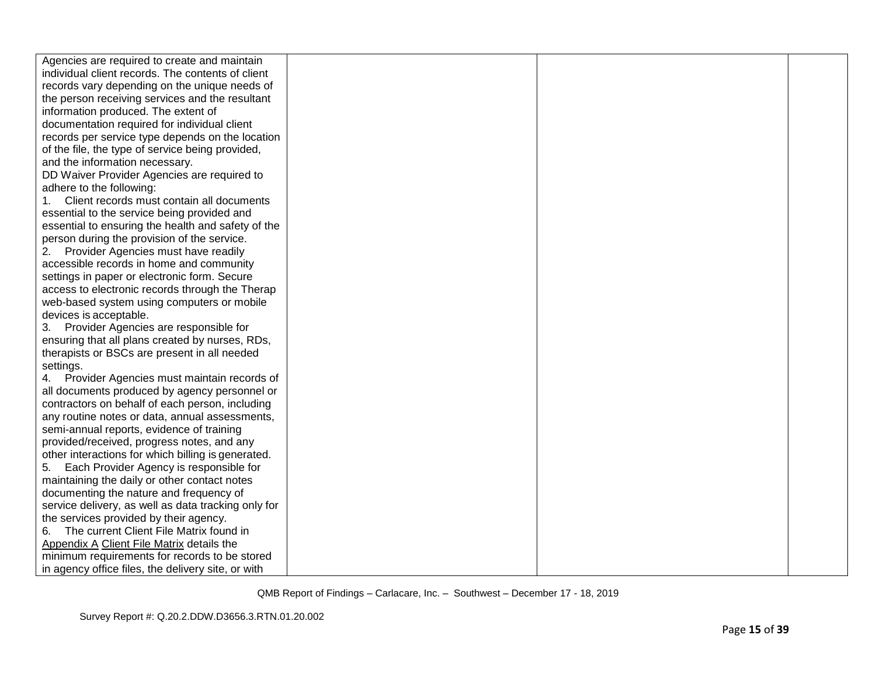| Agencies are required to create and maintain        |  |  |
|-----------------------------------------------------|--|--|
| individual client records. The contents of client   |  |  |
| records vary depending on the unique needs of       |  |  |
| the person receiving services and the resultant     |  |  |
| information produced. The extent of                 |  |  |
| documentation required for individual client        |  |  |
| records per service type depends on the location    |  |  |
| of the file, the type of service being provided,    |  |  |
| and the information necessary.                      |  |  |
| DD Waiver Provider Agencies are required to         |  |  |
| adhere to the following:                            |  |  |
| Client records must contain all documents<br>1.     |  |  |
| essential to the service being provided and         |  |  |
| essential to ensuring the health and safety of the  |  |  |
| person during the provision of the service.         |  |  |
| Provider Agencies must have readily<br>2.           |  |  |
| accessible records in home and community            |  |  |
| settings in paper or electronic form. Secure        |  |  |
| access to electronic records through the Therap     |  |  |
| web-based system using computers or mobile          |  |  |
| devices is acceptable.                              |  |  |
| 3. Provider Agencies are responsible for            |  |  |
| ensuring that all plans created by nurses, RDs,     |  |  |
| therapists or BSCs are present in all needed        |  |  |
| settings.                                           |  |  |
| 4. Provider Agencies must maintain records of       |  |  |
| all documents produced by agency personnel or       |  |  |
| contractors on behalf of each person, including     |  |  |
| any routine notes or data, annual assessments,      |  |  |
| semi-annual reports, evidence of training           |  |  |
| provided/received, progress notes, and any          |  |  |
| other interactions for which billing is generated.  |  |  |
| Each Provider Agency is responsible for<br>5.       |  |  |
| maintaining the daily or other contact notes        |  |  |
| documenting the nature and frequency of             |  |  |
| service delivery, as well as data tracking only for |  |  |
| the services provided by their agency.              |  |  |
| 6. The current Client File Matrix found in          |  |  |
| Appendix A Client File Matrix details the           |  |  |
| minimum requirements for records to be stored       |  |  |
| in agency office files, the delivery site, or with  |  |  |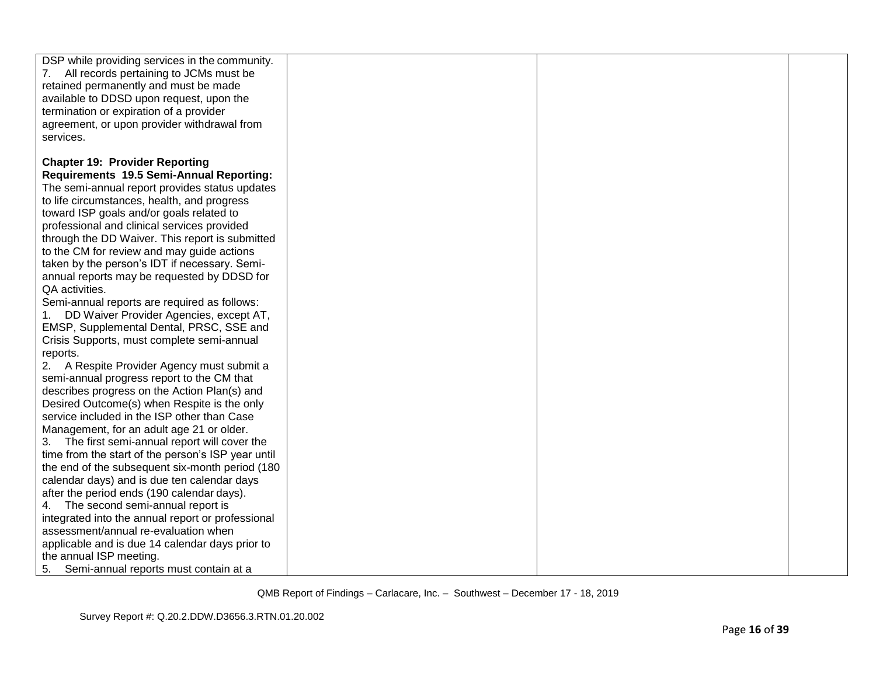| DSP while providing services in the community.<br>7. All records pertaining to JCMs must be<br>retained permanently and must be made |  |  |
|--------------------------------------------------------------------------------------------------------------------------------------|--|--|
| available to DDSD upon request, upon the                                                                                             |  |  |
| termination or expiration of a provider                                                                                              |  |  |
| agreement, or upon provider withdrawal from                                                                                          |  |  |
| services.                                                                                                                            |  |  |
|                                                                                                                                      |  |  |
| <b>Chapter 19: Provider Reporting</b>                                                                                                |  |  |
| Requirements 19.5 Semi-Annual Reporting:                                                                                             |  |  |
| The semi-annual report provides status updates                                                                                       |  |  |
| to life circumstances, health, and progress                                                                                          |  |  |
| toward ISP goals and/or goals related to                                                                                             |  |  |
| professional and clinical services provided                                                                                          |  |  |
| through the DD Waiver. This report is submitted                                                                                      |  |  |
| to the CM for review and may guide actions                                                                                           |  |  |
| taken by the person's IDT if necessary. Semi-                                                                                        |  |  |
| annual reports may be requested by DDSD for                                                                                          |  |  |
| QA activities.                                                                                                                       |  |  |
| Semi-annual reports are required as follows:                                                                                         |  |  |
| DD Waiver Provider Agencies, except AT,                                                                                              |  |  |
| EMSP, Supplemental Dental, PRSC, SSE and                                                                                             |  |  |
| Crisis Supports, must complete semi-annual                                                                                           |  |  |
| reports.                                                                                                                             |  |  |
| 2. A Respite Provider Agency must submit a                                                                                           |  |  |
| semi-annual progress report to the CM that                                                                                           |  |  |
| describes progress on the Action Plan(s) and                                                                                         |  |  |
| Desired Outcome(s) when Respite is the only                                                                                          |  |  |
| service included in the ISP other than Case                                                                                          |  |  |
| Management, for an adult age 21 or older.                                                                                            |  |  |
| The first semi-annual report will cover the<br>3.                                                                                    |  |  |
| time from the start of the person's ISP year until                                                                                   |  |  |
| the end of the subsequent six-month period (180)                                                                                     |  |  |
| calendar days) and is due ten calendar days                                                                                          |  |  |
| after the period ends (190 calendar days).                                                                                           |  |  |
| The second semi-annual report is                                                                                                     |  |  |
| integrated into the annual report or professional                                                                                    |  |  |
| assessment/annual re-evaluation when                                                                                                 |  |  |
| applicable and is due 14 calendar days prior to                                                                                      |  |  |
| the annual ISP meeting.                                                                                                              |  |  |
| 5.<br>Semi-annual reports must contain at a                                                                                          |  |  |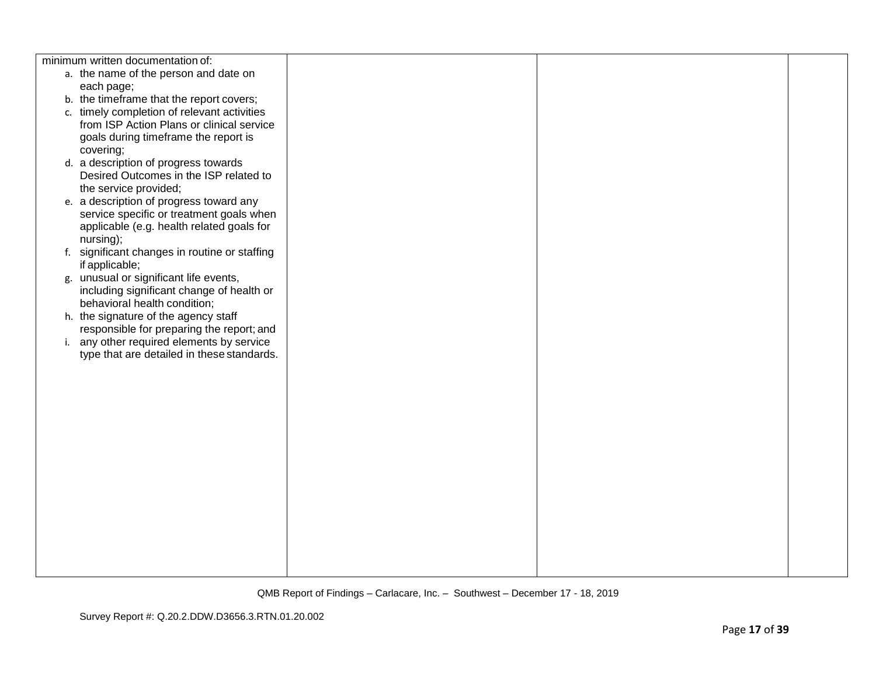| minimum written documentation of:             |  |  |
|-----------------------------------------------|--|--|
| a. the name of the person and date on         |  |  |
| each page;                                    |  |  |
| b. the timeframe that the report covers;      |  |  |
| c. timely completion of relevant activities   |  |  |
| from ISP Action Plans or clinical service     |  |  |
| goals during timeframe the report is          |  |  |
| covering;                                     |  |  |
| d. a description of progress towards          |  |  |
| Desired Outcomes in the ISP related to        |  |  |
| the service provided;                         |  |  |
| e. a description of progress toward any       |  |  |
| service specific or treatment goals when      |  |  |
| applicable (e.g. health related goals for     |  |  |
| nursing);                                     |  |  |
| f. significant changes in routine or staffing |  |  |
| if applicable;                                |  |  |
| g. unusual or significant life events,        |  |  |
| including significant change of health or     |  |  |
| behavioral health condition;                  |  |  |
| h. the signature of the agency staff          |  |  |
| responsible for preparing the report; and     |  |  |
| i. any other required elements by service     |  |  |
| type that are detailed in these standards.    |  |  |
|                                               |  |  |
|                                               |  |  |
|                                               |  |  |
|                                               |  |  |
|                                               |  |  |
|                                               |  |  |
|                                               |  |  |
|                                               |  |  |
|                                               |  |  |
|                                               |  |  |
|                                               |  |  |
|                                               |  |  |
|                                               |  |  |
|                                               |  |  |
|                                               |  |  |
|                                               |  |  |
|                                               |  |  |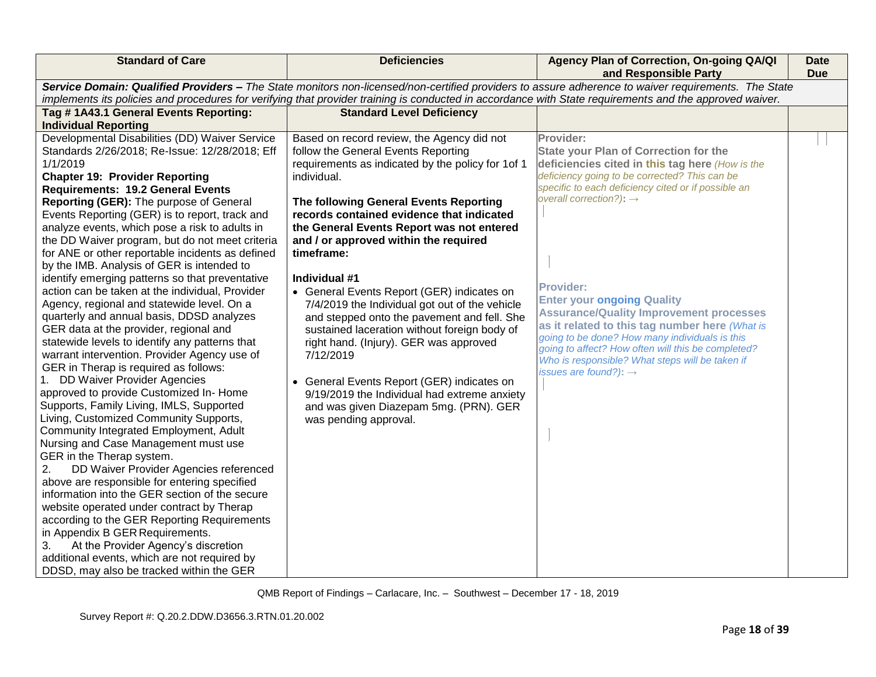| <b>Standard of Care</b>                                                                                                                                                                                                                                                                                                                                                                                                                                                                                                                                                                                                                                                                                                                                                                                                                                                                                                                                                                                                                                                                                                                                                                                                                                                                                                                                                                                                                                                                                                                                                                                | <b>Deficiencies</b>                                                                                                                                                                                                                                                                                                                                                                                                                                                                                                                                                                                                                                                                                                                                                                      | Agency Plan of Correction, On-going QA/QI<br>and Responsible Party                                                                                                                                                                                                                                                                                                                                                                                                                                                                                                                                                       | <b>Date</b><br><b>Due</b> |
|--------------------------------------------------------------------------------------------------------------------------------------------------------------------------------------------------------------------------------------------------------------------------------------------------------------------------------------------------------------------------------------------------------------------------------------------------------------------------------------------------------------------------------------------------------------------------------------------------------------------------------------------------------------------------------------------------------------------------------------------------------------------------------------------------------------------------------------------------------------------------------------------------------------------------------------------------------------------------------------------------------------------------------------------------------------------------------------------------------------------------------------------------------------------------------------------------------------------------------------------------------------------------------------------------------------------------------------------------------------------------------------------------------------------------------------------------------------------------------------------------------------------------------------------------------------------------------------------------------|------------------------------------------------------------------------------------------------------------------------------------------------------------------------------------------------------------------------------------------------------------------------------------------------------------------------------------------------------------------------------------------------------------------------------------------------------------------------------------------------------------------------------------------------------------------------------------------------------------------------------------------------------------------------------------------------------------------------------------------------------------------------------------------|--------------------------------------------------------------------------------------------------------------------------------------------------------------------------------------------------------------------------------------------------------------------------------------------------------------------------------------------------------------------------------------------------------------------------------------------------------------------------------------------------------------------------------------------------------------------------------------------------------------------------|---------------------------|
|                                                                                                                                                                                                                                                                                                                                                                                                                                                                                                                                                                                                                                                                                                                                                                                                                                                                                                                                                                                                                                                                                                                                                                                                                                                                                                                                                                                                                                                                                                                                                                                                        | implements its policies and procedures for verifying that provider training is conducted in accordance with State requirements and the approved waiver.                                                                                                                                                                                                                                                                                                                                                                                                                                                                                                                                                                                                                                  | Service Domain: Qualified Providers - The State monitors non-licensed/non-certified providers to assure adherence to waiver requirements. The State                                                                                                                                                                                                                                                                                                                                                                                                                                                                      |                           |
| Tag #1A43.1 General Events Reporting:                                                                                                                                                                                                                                                                                                                                                                                                                                                                                                                                                                                                                                                                                                                                                                                                                                                                                                                                                                                                                                                                                                                                                                                                                                                                                                                                                                                                                                                                                                                                                                  | <b>Standard Level Deficiency</b>                                                                                                                                                                                                                                                                                                                                                                                                                                                                                                                                                                                                                                                                                                                                                         |                                                                                                                                                                                                                                                                                                                                                                                                                                                                                                                                                                                                                          |                           |
| <b>Individual Reporting</b>                                                                                                                                                                                                                                                                                                                                                                                                                                                                                                                                                                                                                                                                                                                                                                                                                                                                                                                                                                                                                                                                                                                                                                                                                                                                                                                                                                                                                                                                                                                                                                            |                                                                                                                                                                                                                                                                                                                                                                                                                                                                                                                                                                                                                                                                                                                                                                                          |                                                                                                                                                                                                                                                                                                                                                                                                                                                                                                                                                                                                                          |                           |
| Developmental Disabilities (DD) Waiver Service<br>Standards 2/26/2018; Re-Issue: 12/28/2018; Eff<br>1/1/2019<br><b>Chapter 19: Provider Reporting</b><br><b>Requirements: 19.2 General Events</b><br>Reporting (GER): The purpose of General<br>Events Reporting (GER) is to report, track and<br>analyze events, which pose a risk to adults in<br>the DD Waiver program, but do not meet criteria<br>for ANE or other reportable incidents as defined<br>by the IMB. Analysis of GER is intended to<br>identify emerging patterns so that preventative<br>action can be taken at the individual, Provider<br>Agency, regional and statewide level. On a<br>quarterly and annual basis, DDSD analyzes<br>GER data at the provider, regional and<br>statewide levels to identify any patterns that<br>warrant intervention. Provider Agency use of<br>GER in Therap is required as follows:<br>1. DD Waiver Provider Agencies<br>approved to provide Customized In-Home<br>Supports, Family Living, IMLS, Supported<br>Living, Customized Community Supports,<br>Community Integrated Employment, Adult<br>Nursing and Case Management must use<br>GER in the Therap system.<br>DD Waiver Provider Agencies referenced<br>2.<br>above are responsible for entering specified<br>information into the GER section of the secure<br>website operated under contract by Therap<br>according to the GER Reporting Requirements<br>in Appendix B GER Requirements.<br>At the Provider Agency's discretion<br>3.<br>additional events, which are not required by<br>DDSD, may also be tracked within the GER | Based on record review, the Agency did not<br>follow the General Events Reporting<br>requirements as indicated by the policy for 1of 1<br>individual.<br>The following General Events Reporting<br>records contained evidence that indicated<br>the General Events Report was not entered<br>and / or approved within the required<br>timeframe:<br>Individual #1<br>• General Events Report (GER) indicates on<br>7/4/2019 the Individual got out of the vehicle<br>and stepped onto the pavement and fell. She<br>sustained laceration without foreign body of<br>right hand. (Injury). GER was approved<br>7/12/2019<br>• General Events Report (GER) indicates on<br>9/19/2019 the Individual had extreme anxiety<br>and was given Diazepam 5mg. (PRN). GER<br>was pending approval. | Provider:<br><b>State your Plan of Correction for the</b><br>deficiencies cited in this tag here (How is the<br>deficiency going to be corrected? This can be<br>specific to each deficiency cited or if possible an<br>overall correction?): $\rightarrow$<br><b>Provider:</b><br><b>Enter your ongoing Quality</b><br><b>Assurance/Quality Improvement processes</b><br>as it related to this tag number here (What is<br>going to be done? How many individuals is this<br>going to affect? How often will this be completed?<br>Who is responsible? What steps will be taken if<br>issues are found?): $\rightarrow$ |                           |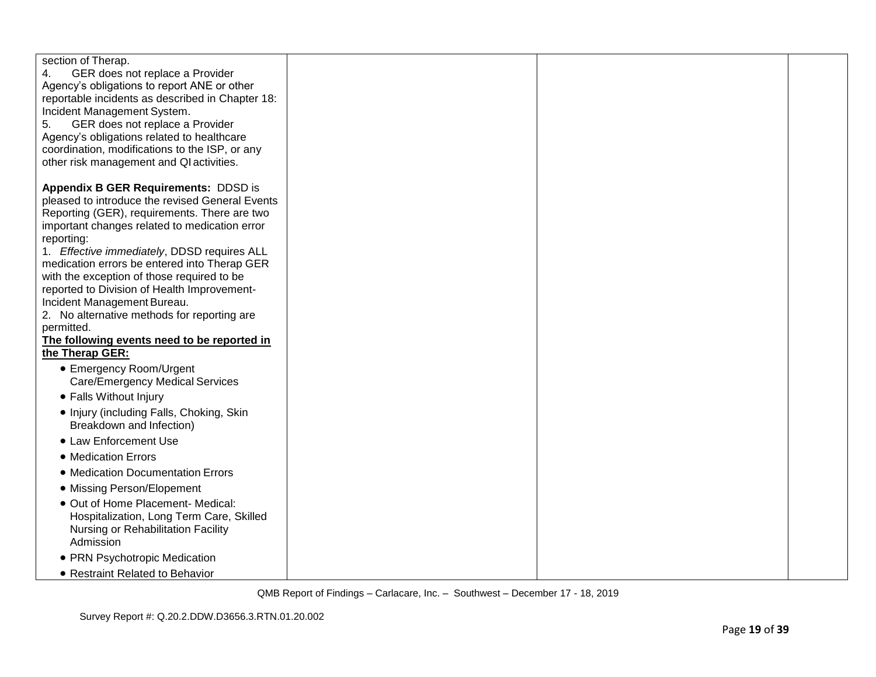| section of Therap.<br>GER does not replace a Provider<br>4.<br>Agency's obligations to report ANE or other<br>reportable incidents as described in Chapter 18:<br>Incident Management System.<br>GER does not replace a Provider<br>5.<br>Agency's obligations related to healthcare<br>coordination, modifications to the ISP, or any<br>other risk management and QI activities. |  |  |
|------------------------------------------------------------------------------------------------------------------------------------------------------------------------------------------------------------------------------------------------------------------------------------------------------------------------------------------------------------------------------------|--|--|
| Appendix B GER Requirements: DDSD is<br>pleased to introduce the revised General Events<br>Reporting (GER), requirements. There are two<br>important changes related to medication error<br>reporting:                                                                                                                                                                             |  |  |
| 1. Effective immediately, DDSD requires ALL<br>medication errors be entered into Therap GER<br>with the exception of those required to be<br>reported to Division of Health Improvement-                                                                                                                                                                                           |  |  |
| Incident Management Bureau.<br>2. No alternative methods for reporting are<br>permitted.                                                                                                                                                                                                                                                                                           |  |  |
| The following events need to be reported in<br>the Therap GER:                                                                                                                                                                                                                                                                                                                     |  |  |
| • Emergency Room/Urgent<br>Care/Emergency Medical Services<br>• Falls Without Injury                                                                                                                                                                                                                                                                                               |  |  |
| • Injury (including Falls, Choking, Skin<br>Breakdown and Infection)                                                                                                                                                                                                                                                                                                               |  |  |
| • Law Enforcement Use                                                                                                                                                                                                                                                                                                                                                              |  |  |
| • Medication Errors                                                                                                                                                                                                                                                                                                                                                                |  |  |
| • Medication Documentation Errors                                                                                                                                                                                                                                                                                                                                                  |  |  |
| • Missing Person/Elopement                                                                                                                                                                                                                                                                                                                                                         |  |  |
| · Out of Home Placement- Medical:<br>Hospitalization, Long Term Care, Skilled<br>Nursing or Rehabilitation Facility<br>Admission                                                                                                                                                                                                                                                   |  |  |
| • PRN Psychotropic Medication                                                                                                                                                                                                                                                                                                                                                      |  |  |
| • Restraint Related to Behavior                                                                                                                                                                                                                                                                                                                                                    |  |  |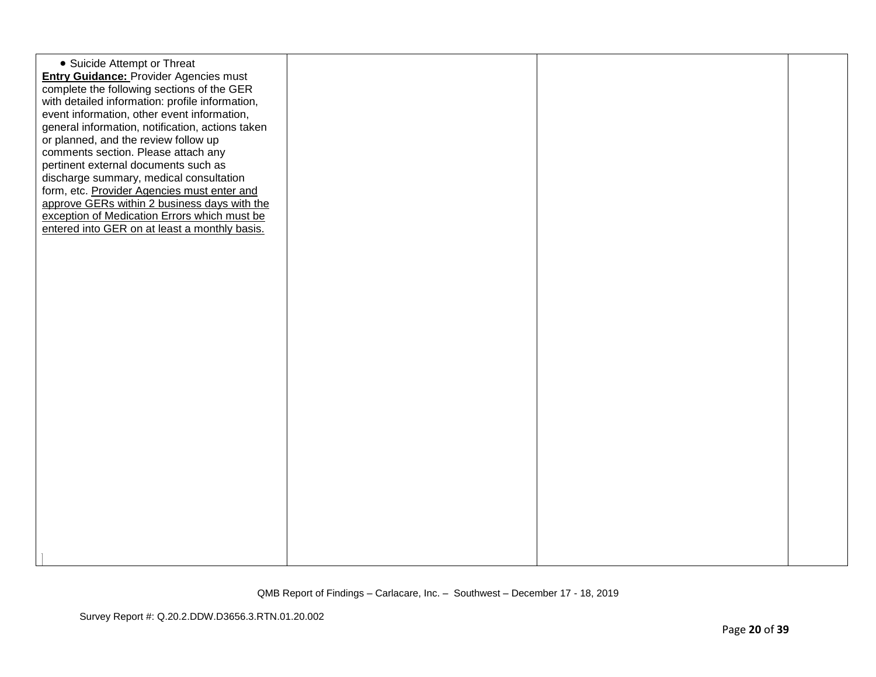| • Suicide Attempt or Threat<br><b>Entry Guidance: Provider Agencies must</b><br>complete the following sections of the GER<br>with detailed information: profile information,<br>event information, other event information,<br>general information, notification, actions taken<br>or planned, and the review follow up<br>comments section. Please attach any<br>pertinent external documents such as<br>discharge summary, medical consultation<br>form, etc. Provider Agencies must enter and<br>approve GERs within 2 business days with the<br>exception of Medication Errors which must be<br>entered into GER on at least a monthly basis. |  |  |
|----------------------------------------------------------------------------------------------------------------------------------------------------------------------------------------------------------------------------------------------------------------------------------------------------------------------------------------------------------------------------------------------------------------------------------------------------------------------------------------------------------------------------------------------------------------------------------------------------------------------------------------------------|--|--|
|                                                                                                                                                                                                                                                                                                                                                                                                                                                                                                                                                                                                                                                    |  |  |
|                                                                                                                                                                                                                                                                                                                                                                                                                                                                                                                                                                                                                                                    |  |  |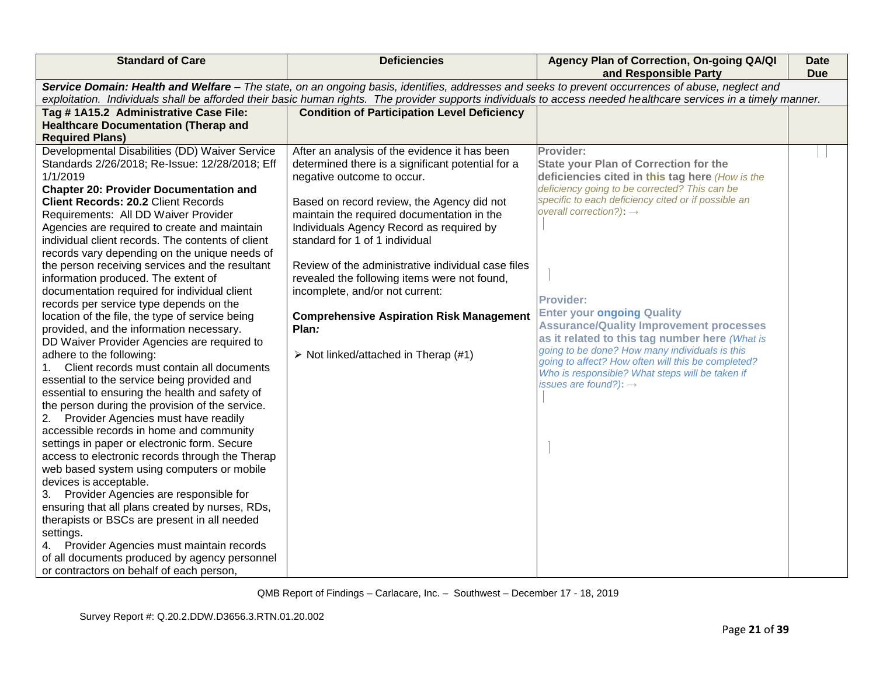| <b>Standard of Care</b>                                                                                                                                          | <b>Deficiencies</b>                                 | Agency Plan of Correction, On-going QA/QI<br>and Responsible Party                                   | <b>Date</b><br><b>Due</b> |  |  |
|------------------------------------------------------------------------------------------------------------------------------------------------------------------|-----------------------------------------------------|------------------------------------------------------------------------------------------------------|---------------------------|--|--|
| Service Domain: Health and Welfare - The state, on an ongoing basis, identifies, addresses and seeks to prevent occurrences of abuse, neglect and                |                                                     |                                                                                                      |                           |  |  |
| exploitation. Individuals shall be afforded their basic human rights. The provider supports individuals to access needed healthcare services in a timely manner. |                                                     |                                                                                                      |                           |  |  |
| Tag #1A15.2 Administrative Case File:                                                                                                                            | <b>Condition of Participation Level Deficiency</b>  |                                                                                                      |                           |  |  |
| <b>Healthcare Documentation (Therap and</b>                                                                                                                      |                                                     |                                                                                                      |                           |  |  |
| <b>Required Plans)</b>                                                                                                                                           |                                                     |                                                                                                      |                           |  |  |
| Developmental Disabilities (DD) Waiver Service                                                                                                                   | After an analysis of the evidence it has been       | Provider:                                                                                            |                           |  |  |
| Standards 2/26/2018; Re-Issue: 12/28/2018; Eff                                                                                                                   | determined there is a significant potential for a   | <b>State your Plan of Correction for the</b>                                                         |                           |  |  |
| 1/1/2019                                                                                                                                                         | negative outcome to occur.                          | deficiencies cited in this tag here (How is the                                                      |                           |  |  |
| <b>Chapter 20: Provider Documentation and</b>                                                                                                                    |                                                     | deficiency going to be corrected? This can be<br>specific to each deficiency cited or if possible an |                           |  |  |
| <b>Client Records: 20.2 Client Records</b>                                                                                                                       | Based on record review, the Agency did not          | overall correction?): $\rightarrow$                                                                  |                           |  |  |
| Requirements: All DD Waiver Provider                                                                                                                             | maintain the required documentation in the          |                                                                                                      |                           |  |  |
| Agencies are required to create and maintain                                                                                                                     | Individuals Agency Record as required by            |                                                                                                      |                           |  |  |
| individual client records. The contents of client                                                                                                                | standard for 1 of 1 individual                      |                                                                                                      |                           |  |  |
| records vary depending on the unique needs of                                                                                                                    |                                                     |                                                                                                      |                           |  |  |
| the person receiving services and the resultant                                                                                                                  | Review of the administrative individual case files  |                                                                                                      |                           |  |  |
| information produced. The extent of                                                                                                                              | revealed the following items were not found,        |                                                                                                      |                           |  |  |
| documentation required for individual client                                                                                                                     | incomplete, and/or not current:                     | <b>Provider:</b>                                                                                     |                           |  |  |
| records per service type depends on the                                                                                                                          |                                                     | <b>Enter your ongoing Quality</b>                                                                    |                           |  |  |
| location of the file, the type of service being                                                                                                                  | <b>Comprehensive Aspiration Risk Management</b>     | <b>Assurance/Quality Improvement processes</b>                                                       |                           |  |  |
| provided, and the information necessary.                                                                                                                         | Plan:                                               | as it related to this tag number here (What is                                                       |                           |  |  |
| DD Waiver Provider Agencies are required to                                                                                                                      |                                                     | going to be done? How many individuals is this                                                       |                           |  |  |
| adhere to the following:                                                                                                                                         | $\triangleright$ Not linked/attached in Therap (#1) | going to affect? How often will this be completed?                                                   |                           |  |  |
| 1. Client records must contain all documents                                                                                                                     |                                                     | Who is responsible? What steps will be taken if                                                      |                           |  |  |
| essential to the service being provided and                                                                                                                      |                                                     | issues are found?): $\rightarrow$                                                                    |                           |  |  |
| essential to ensuring the health and safety of                                                                                                                   |                                                     |                                                                                                      |                           |  |  |
| the person during the provision of the service.                                                                                                                  |                                                     |                                                                                                      |                           |  |  |
| 2. Provider Agencies must have readily                                                                                                                           |                                                     |                                                                                                      |                           |  |  |
| accessible records in home and community                                                                                                                         |                                                     |                                                                                                      |                           |  |  |
| settings in paper or electronic form. Secure                                                                                                                     |                                                     |                                                                                                      |                           |  |  |
| access to electronic records through the Therap                                                                                                                  |                                                     |                                                                                                      |                           |  |  |
| web based system using computers or mobile                                                                                                                       |                                                     |                                                                                                      |                           |  |  |
| devices is acceptable.                                                                                                                                           |                                                     |                                                                                                      |                           |  |  |
| 3. Provider Agencies are responsible for                                                                                                                         |                                                     |                                                                                                      |                           |  |  |
| ensuring that all plans created by nurses, RDs,                                                                                                                  |                                                     |                                                                                                      |                           |  |  |
| therapists or BSCs are present in all needed                                                                                                                     |                                                     |                                                                                                      |                           |  |  |
| settings.                                                                                                                                                        |                                                     |                                                                                                      |                           |  |  |
| 4. Provider Agencies must maintain records                                                                                                                       |                                                     |                                                                                                      |                           |  |  |
| of all documents produced by agency personnel                                                                                                                    |                                                     |                                                                                                      |                           |  |  |
| or contractors on behalf of each person,                                                                                                                         |                                                     |                                                                                                      |                           |  |  |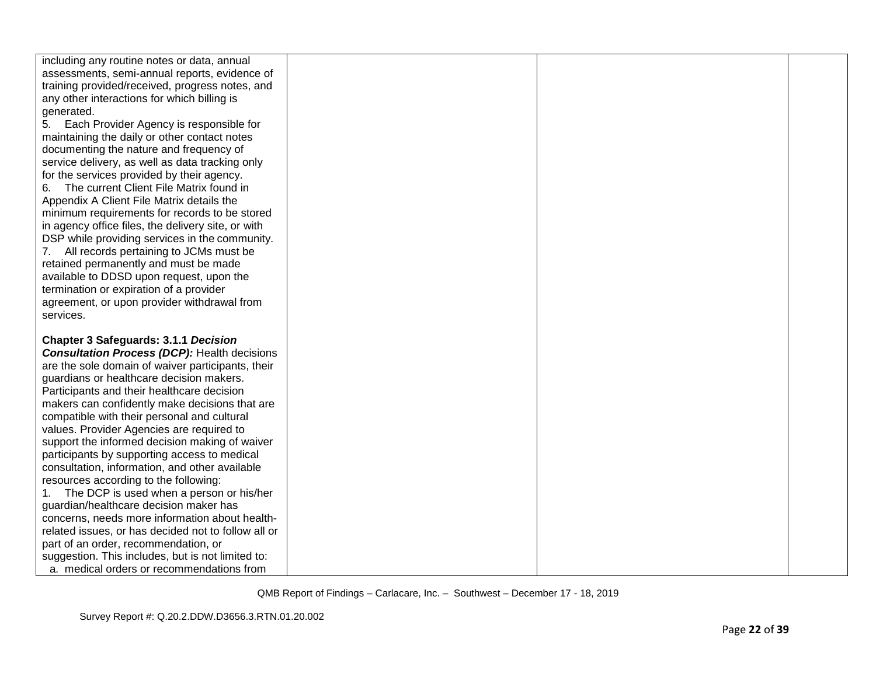| including any routine notes or data, annual<br>assessments, semi-annual reports, evidence of<br>training provided/received, progress notes, and<br>any other interactions for which billing is<br>generated.<br>5.<br>Each Provider Agency is responsible for |  |  |
|---------------------------------------------------------------------------------------------------------------------------------------------------------------------------------------------------------------------------------------------------------------|--|--|
| maintaining the daily or other contact notes<br>documenting the nature and frequency of<br>service delivery, as well as data tracking only                                                                                                                    |  |  |
| for the services provided by their agency.<br>6. The current Client File Matrix found in<br>Appendix A Client File Matrix details the<br>minimum requirements for records to be stored                                                                        |  |  |
| in agency office files, the delivery site, or with<br>DSP while providing services in the community.<br>7. All records pertaining to JCMs must be                                                                                                             |  |  |
| retained permanently and must be made<br>available to DDSD upon request, upon the<br>termination or expiration of a provider                                                                                                                                  |  |  |
| agreement, or upon provider withdrawal from<br>services.                                                                                                                                                                                                      |  |  |
| <b>Chapter 3 Safeguards: 3.1.1 Decision</b><br><b>Consultation Process (DCP): Health decisions</b><br>are the sole domain of waiver participants, their                                                                                                       |  |  |
| guardians or healthcare decision makers.<br>Participants and their healthcare decision                                                                                                                                                                        |  |  |
| makers can confidently make decisions that are<br>compatible with their personal and cultural<br>values. Provider Agencies are required to                                                                                                                    |  |  |
| support the informed decision making of waiver<br>participants by supporting access to medical<br>consultation, information, and other available                                                                                                              |  |  |
| resources according to the following:<br>The DCP is used when a person or his/her                                                                                                                                                                             |  |  |
| guardian/healthcare decision maker has<br>concerns, needs more information about health-<br>related issues, or has decided not to follow all or                                                                                                               |  |  |
| part of an order, recommendation, or<br>suggestion. This includes, but is not limited to:<br>a. medical orders or recommendations from                                                                                                                        |  |  |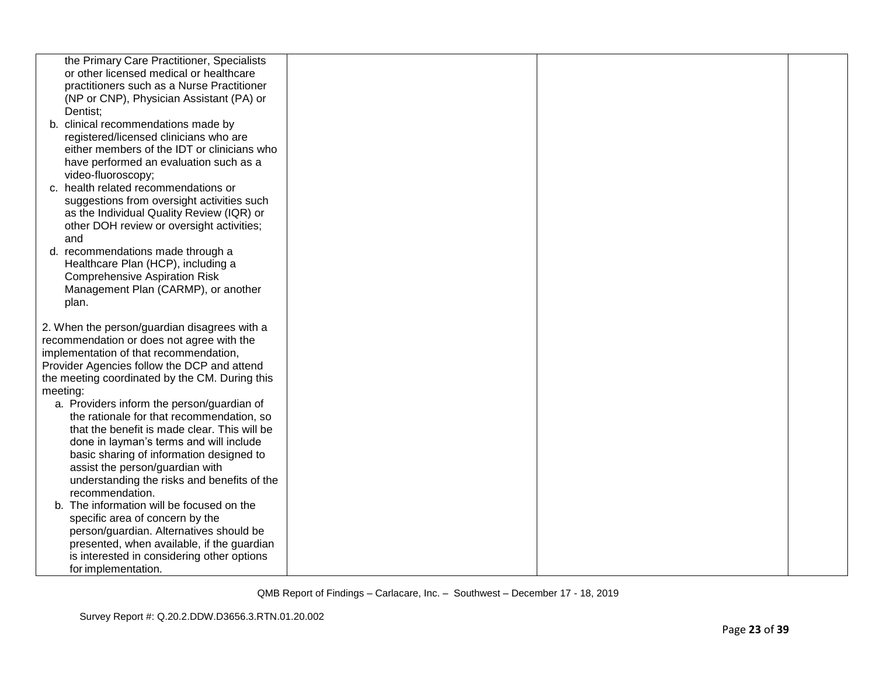| the Primary Care Practitioner, Specialists                                             |  |  |
|----------------------------------------------------------------------------------------|--|--|
| or other licensed medical or healthcare                                                |  |  |
| practitioners such as a Nurse Practitioner                                             |  |  |
| (NP or CNP), Physician Assistant (PA) or                                               |  |  |
| Dentist;                                                                               |  |  |
| b. clinical recommendations made by                                                    |  |  |
| registered/licensed clinicians who are                                                 |  |  |
| either members of the IDT or clinicians who                                            |  |  |
| have performed an evaluation such as a                                                 |  |  |
| video-fluoroscopy;                                                                     |  |  |
| c. health related recommendations or                                                   |  |  |
| suggestions from oversight activities such                                             |  |  |
| as the Individual Quality Review (IQR) or<br>other DOH review or oversight activities; |  |  |
| and                                                                                    |  |  |
| d. recommendations made through a                                                      |  |  |
| Healthcare Plan (HCP), including a                                                     |  |  |
| <b>Comprehensive Aspiration Risk</b>                                                   |  |  |
| Management Plan (CARMP), or another                                                    |  |  |
| plan.                                                                                  |  |  |
|                                                                                        |  |  |
| 2. When the person/guardian disagrees with a                                           |  |  |
| recommendation or does not agree with the                                              |  |  |
| implementation of that recommendation,                                                 |  |  |
| Provider Agencies follow the DCP and attend                                            |  |  |
| the meeting coordinated by the CM. During this                                         |  |  |
| meeting:                                                                               |  |  |
| a. Providers inform the person/guardian of                                             |  |  |
| the rationale for that recommendation, so                                              |  |  |
| that the benefit is made clear. This will be                                           |  |  |
| done in layman's terms and will include                                                |  |  |
| basic sharing of information designed to                                               |  |  |
| assist the person/guardian with                                                        |  |  |
| understanding the risks and benefits of the                                            |  |  |
| recommendation.                                                                        |  |  |
| b. The information will be focused on the                                              |  |  |
| specific area of concern by the                                                        |  |  |
| person/guardian. Alternatives should be                                                |  |  |
| presented, when available, if the guardian                                             |  |  |
| is interested in considering other options                                             |  |  |
| for implementation.                                                                    |  |  |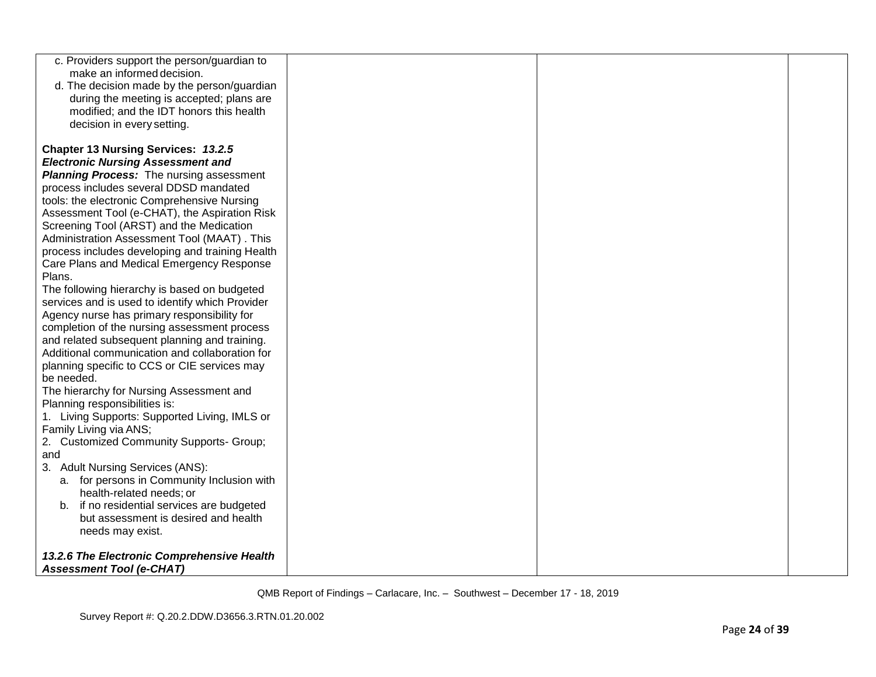| c. Providers support the person/guardian to                                                     |  |  |
|-------------------------------------------------------------------------------------------------|--|--|
| make an informed decision.<br>d. The decision made by the person/guardian                       |  |  |
| during the meeting is accepted; plans are                                                       |  |  |
| modified; and the IDT honors this health                                                        |  |  |
| decision in every setting.                                                                      |  |  |
|                                                                                                 |  |  |
| <b>Chapter 13 Nursing Services: 13.2.5</b>                                                      |  |  |
| <b>Electronic Nursing Assessment and</b>                                                        |  |  |
| <b>Planning Process:</b> The nursing assessment                                                 |  |  |
| process includes several DDSD mandated                                                          |  |  |
| tools: the electronic Comprehensive Nursing                                                     |  |  |
| Assessment Tool (e-CHAT), the Aspiration Risk                                                   |  |  |
| Screening Tool (ARST) and the Medication                                                        |  |  |
| Administration Assessment Tool (MAAT). This                                                     |  |  |
| process includes developing and training Health                                                 |  |  |
| Care Plans and Medical Emergency Response                                                       |  |  |
| Plans.                                                                                          |  |  |
| The following hierarchy is based on budgeted<br>services and is used to identify which Provider |  |  |
| Agency nurse has primary responsibility for                                                     |  |  |
| completion of the nursing assessment process                                                    |  |  |
| and related subsequent planning and training.                                                   |  |  |
| Additional communication and collaboration for                                                  |  |  |
| planning specific to CCS or CIE services may                                                    |  |  |
| be needed.                                                                                      |  |  |
| The hierarchy for Nursing Assessment and                                                        |  |  |
| Planning responsibilities is:                                                                   |  |  |
| 1. Living Supports: Supported Living, IMLS or                                                   |  |  |
| Family Living via ANS;                                                                          |  |  |
| 2. Customized Community Supports- Group;                                                        |  |  |
| and<br>3. Adult Nursing Services (ANS):                                                         |  |  |
| a. for persons in Community Inclusion with                                                      |  |  |
| health-related needs; or                                                                        |  |  |
| b. if no residential services are budgeted                                                      |  |  |
| but assessment is desired and health                                                            |  |  |
| needs may exist.                                                                                |  |  |
|                                                                                                 |  |  |
| 13.2.6 The Electronic Comprehensive Health                                                      |  |  |
| <b>Assessment Tool (e-CHAT)</b>                                                                 |  |  |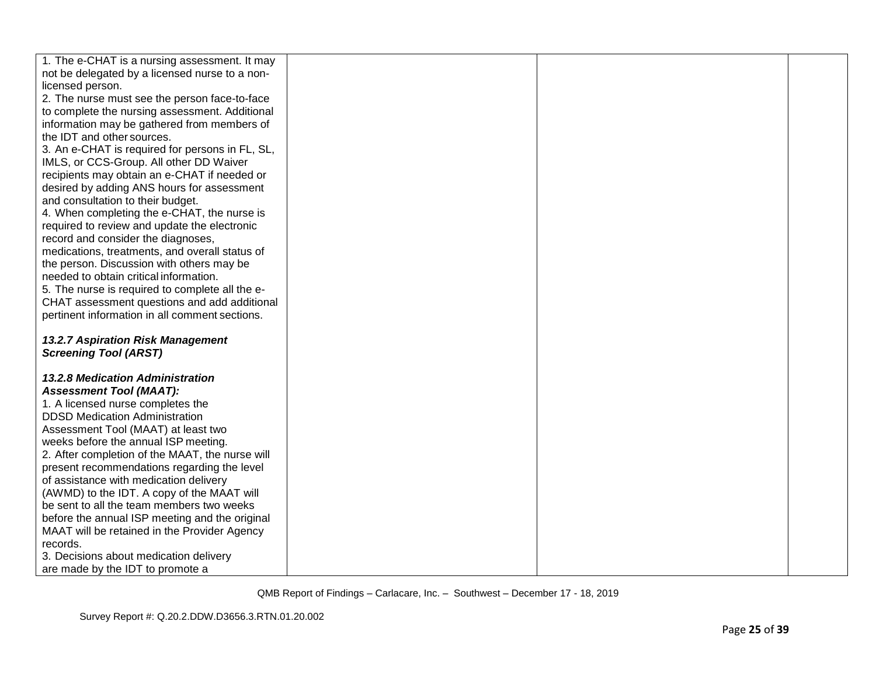| 1. The e-CHAT is a nursing assessment. It may   |  |  |
|-------------------------------------------------|--|--|
| not be delegated by a licensed nurse to a non-  |  |  |
| licensed person.                                |  |  |
| 2. The nurse must see the person face-to-face   |  |  |
|                                                 |  |  |
| to complete the nursing assessment. Additional  |  |  |
| information may be gathered from members of     |  |  |
| the IDT and other sources.                      |  |  |
| 3. An e-CHAT is required for persons in FL, SL, |  |  |
| IMLS, or CCS-Group. All other DD Waiver         |  |  |
| recipients may obtain an e-CHAT if needed or    |  |  |
| desired by adding ANS hours for assessment      |  |  |
| and consultation to their budget.               |  |  |
| 4. When completing the e-CHAT, the nurse is     |  |  |
| required to review and update the electronic    |  |  |
| record and consider the diagnoses,              |  |  |
| medications, treatments, and overall status of  |  |  |
| the person. Discussion with others may be       |  |  |
| needed to obtain critical information.          |  |  |
| 5. The nurse is required to complete all the e- |  |  |
| CHAT assessment questions and add additional    |  |  |
| pertinent information in all comment sections.  |  |  |
|                                                 |  |  |
| <b>13.2.7 Aspiration Risk Management</b>        |  |  |
| <b>Screening Tool (ARST)</b>                    |  |  |
|                                                 |  |  |
| <b>13.2.8 Medication Administration</b>         |  |  |
| <b>Assessment Tool (MAAT):</b>                  |  |  |
| 1. A licensed nurse completes the               |  |  |
| <b>DDSD Medication Administration</b>           |  |  |
| Assessment Tool (MAAT) at least two             |  |  |
| weeks before the annual ISP meeting.            |  |  |
| 2. After completion of the MAAT, the nurse will |  |  |
| present recommendations regarding the level     |  |  |
| of assistance with medication delivery          |  |  |
| (AWMD) to the IDT. A copy of the MAAT will      |  |  |
|                                                 |  |  |
| be sent to all the team members two weeks       |  |  |
| before the annual ISP meeting and the original  |  |  |
| MAAT will be retained in the Provider Agency    |  |  |
| records.                                        |  |  |
| 3. Decisions about medication delivery          |  |  |
| are made by the IDT to promote a                |  |  |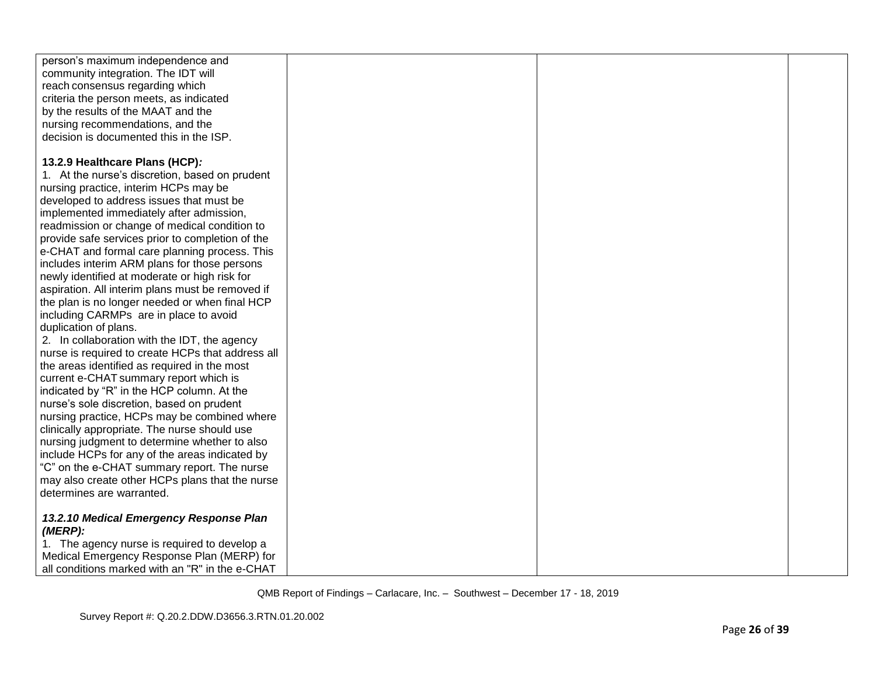| person's maximum independence and                 |  |  |
|---------------------------------------------------|--|--|
| community integration. The IDT will               |  |  |
| reach consensus regarding which                   |  |  |
| criteria the person meets, as indicated           |  |  |
| by the results of the MAAT and the                |  |  |
| nursing recommendations, and the                  |  |  |
| decision is documented this in the ISP.           |  |  |
|                                                   |  |  |
| 13.2.9 Healthcare Plans (HCP):                    |  |  |
| 1. At the nurse's discretion, based on prudent    |  |  |
| nursing practice, interim HCPs may be             |  |  |
| developed to address issues that must be          |  |  |
| implemented immediately after admission,          |  |  |
| readmission or change of medical condition to     |  |  |
| provide safe services prior to completion of the  |  |  |
| e-CHAT and formal care planning process. This     |  |  |
| includes interim ARM plans for those persons      |  |  |
| newly identified at moderate or high risk for     |  |  |
| aspiration. All interim plans must be removed if  |  |  |
| the plan is no longer needed or when final HCP    |  |  |
| including CARMPs are in place to avoid            |  |  |
| duplication of plans.                             |  |  |
| 2. In collaboration with the IDT, the agency      |  |  |
| nurse is required to create HCPs that address all |  |  |
| the areas identified as required in the most      |  |  |
| current e-CHAT summary report which is            |  |  |
| indicated by "R" in the HCP column. At the        |  |  |
| nurse's sole discretion, based on prudent         |  |  |
| nursing practice, HCPs may be combined where      |  |  |
| clinically appropriate. The nurse should use      |  |  |
| nursing judgment to determine whether to also     |  |  |
| include HCPs for any of the areas indicated by    |  |  |
| "C" on the e-CHAT summary report. The nurse       |  |  |
| may also create other HCPs plans that the nurse   |  |  |
| determines are warranted.                         |  |  |
|                                                   |  |  |
| 13.2.10 Medical Emergency Response Plan           |  |  |
| $(MERP)$ :                                        |  |  |
| 1. The agency nurse is required to develop a      |  |  |
| Medical Emergency Response Plan (MERP) for        |  |  |
| all conditions marked with an "R" in the e-CHAT   |  |  |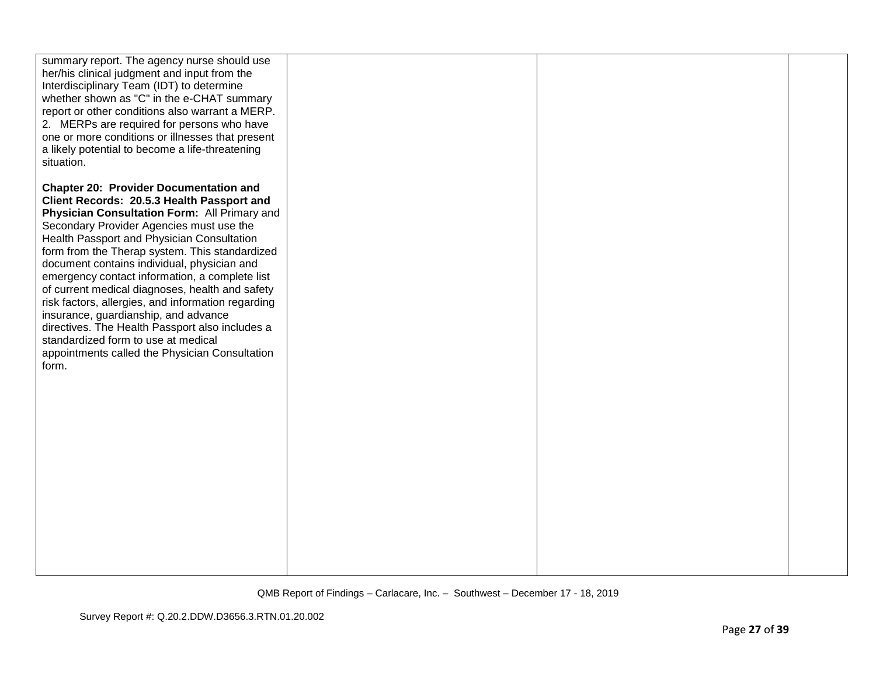| summary report. The agency nurse should use<br>her/his clinical judgment and input from the<br>Interdisciplinary Team (IDT) to determine<br>whether shown as "C" in the e-CHAT summary<br>report or other conditions also warrant a MERP.<br>2. MERPs are required for persons who have<br>one or more conditions or illnesses that present<br>a likely potential to become a life-threatening<br>situation.                                                                                                                                                                                                                                                                                   |  |  |
|------------------------------------------------------------------------------------------------------------------------------------------------------------------------------------------------------------------------------------------------------------------------------------------------------------------------------------------------------------------------------------------------------------------------------------------------------------------------------------------------------------------------------------------------------------------------------------------------------------------------------------------------------------------------------------------------|--|--|
| <b>Chapter 20: Provider Documentation and</b><br>Client Records: 20.5.3 Health Passport and<br>Physician Consultation Form: All Primary and<br>Secondary Provider Agencies must use the<br>Health Passport and Physician Consultation<br>form from the Therap system. This standardized<br>document contains individual, physician and<br>emergency contact information, a complete list<br>of current medical diagnoses, health and safety<br>risk factors, allergies, and information regarding<br>insurance, guardianship, and advance<br>directives. The Health Passport also includes a<br>standardized form to use at medical<br>appointments called the Physician Consultation<br>form. |  |  |
|                                                                                                                                                                                                                                                                                                                                                                                                                                                                                                                                                                                                                                                                                                |  |  |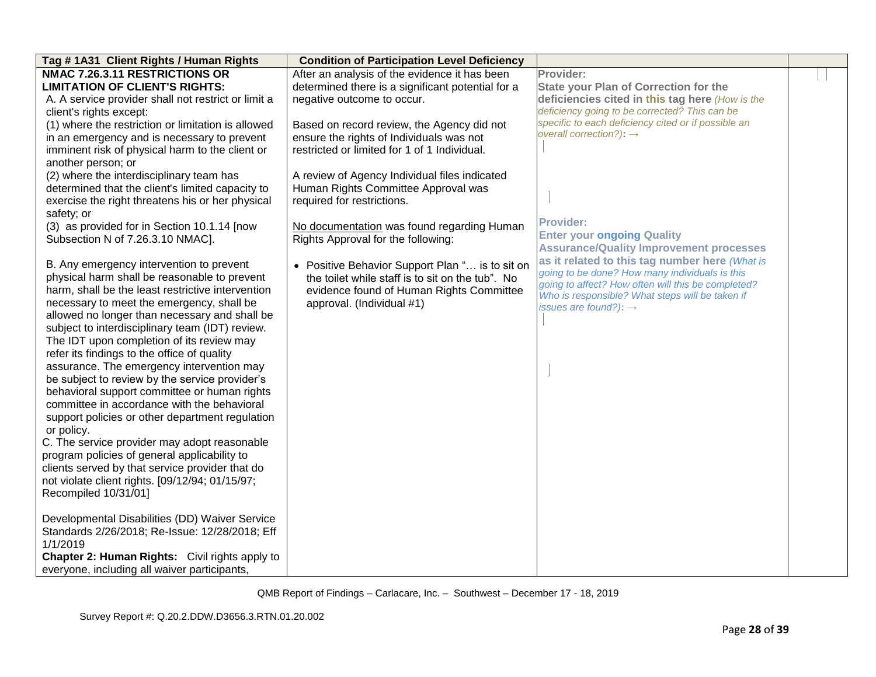| Tag # 1A31 Client Rights / Human Rights               | <b>Condition of Participation Level Deficiency</b> |                                                                                                      |  |
|-------------------------------------------------------|----------------------------------------------------|------------------------------------------------------------------------------------------------------|--|
| NMAC 7.26.3.11 RESTRICTIONS OR                        | After an analysis of the evidence it has been      | Provider:                                                                                            |  |
| <b>LIMITATION OF CLIENT'S RIGHTS:</b>                 | determined there is a significant potential for a  | <b>State your Plan of Correction for the</b>                                                         |  |
| A. A service provider shall not restrict or limit a   | negative outcome to occur.                         | deficiencies cited in this tag here (How is the                                                      |  |
| client's rights except:                               |                                                    | deficiency going to be corrected? This can be                                                        |  |
| (1) where the restriction or limitation is allowed    | Based on record review, the Agency did not         | specific to each deficiency cited or if possible an                                                  |  |
| in an emergency and is necessary to prevent           | ensure the rights of Individuals was not           | overall correction?): $\rightarrow$                                                                  |  |
| imminent risk of physical harm to the client or       | restricted or limited for 1 of 1 Individual.       |                                                                                                      |  |
| another person; or                                    |                                                    |                                                                                                      |  |
| (2) where the interdisciplinary team has              | A review of Agency Individual files indicated      |                                                                                                      |  |
| determined that the client's limited capacity to      | Human Rights Committee Approval was                |                                                                                                      |  |
| exercise the right threatens his or her physical      | required for restrictions.                         |                                                                                                      |  |
| safety; or                                            |                                                    |                                                                                                      |  |
| (3) as provided for in Section 10.1.14 [now           | No documentation was found regarding Human         | <b>Provider:</b>                                                                                     |  |
| Subsection N of 7.26.3.10 NMAC].                      | Rights Approval for the following:                 | <b>Enter your ongoing Quality</b>                                                                    |  |
|                                                       |                                                    | <b>Assurance/Quality Improvement processes</b>                                                       |  |
| B. Any emergency intervention to prevent              | • Positive Behavior Support Plan " is to sit on    | as it related to this tag number here (What is                                                       |  |
| physical harm shall be reasonable to prevent          | the toilet while staff is to sit on the tub". No   | going to be done? How many individuals is this<br>going to affect? How often will this be completed? |  |
| harm, shall be the least restrictive intervention     | evidence found of Human Rights Committee           | Who is responsible? What steps will be taken if                                                      |  |
| necessary to meet the emergency, shall be             | approval. (Individual #1)                          | issues are found?): $\rightarrow$                                                                    |  |
| allowed no longer than necessary and shall be         |                                                    |                                                                                                      |  |
| subject to interdisciplinary team (IDT) review.       |                                                    |                                                                                                      |  |
| The IDT upon completion of its review may             |                                                    |                                                                                                      |  |
| refer its findings to the office of quality           |                                                    |                                                                                                      |  |
| assurance. The emergency intervention may             |                                                    |                                                                                                      |  |
| be subject to review by the service provider's        |                                                    |                                                                                                      |  |
| behavioral support committee or human rights          |                                                    |                                                                                                      |  |
| committee in accordance with the behavioral           |                                                    |                                                                                                      |  |
| support policies or other department regulation       |                                                    |                                                                                                      |  |
| or policy.                                            |                                                    |                                                                                                      |  |
| C. The service provider may adopt reasonable          |                                                    |                                                                                                      |  |
| program policies of general applicability to          |                                                    |                                                                                                      |  |
| clients served by that service provider that do       |                                                    |                                                                                                      |  |
| not violate client rights. [09/12/94; 01/15/97;       |                                                    |                                                                                                      |  |
| Recompiled 10/31/01]                                  |                                                    |                                                                                                      |  |
|                                                       |                                                    |                                                                                                      |  |
| Developmental Disabilities (DD) Waiver Service        |                                                    |                                                                                                      |  |
| Standards 2/26/2018; Re-Issue: 12/28/2018; Eff        |                                                    |                                                                                                      |  |
| 1/1/2019                                              |                                                    |                                                                                                      |  |
| <b>Chapter 2: Human Rights:</b> Civil rights apply to |                                                    |                                                                                                      |  |
| everyone, including all waiver participants,          |                                                    |                                                                                                      |  |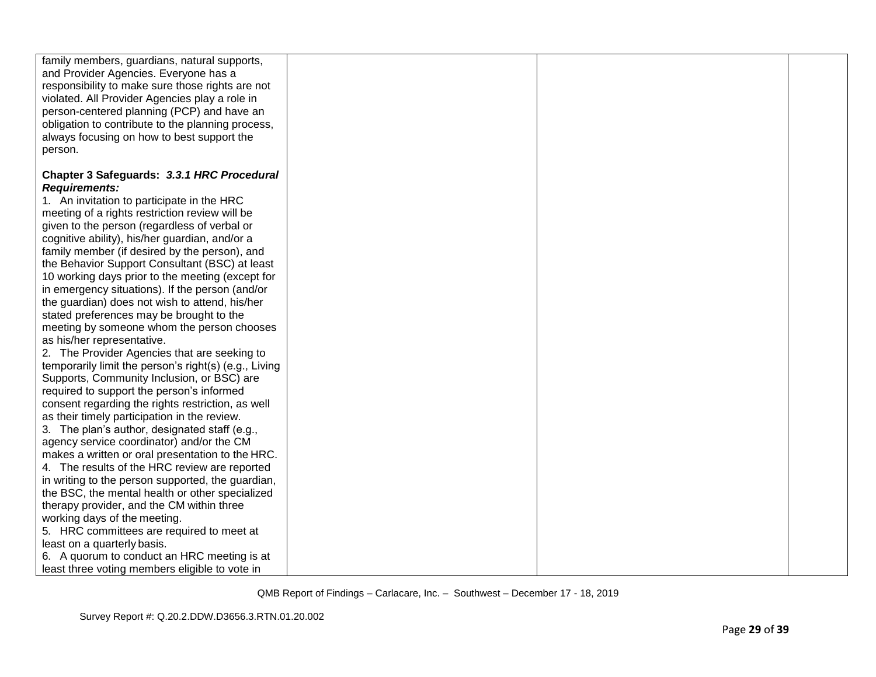| family members, guardians, natural supports,<br>and Provider Agencies. Everyone has a<br>responsibility to make sure those rights are not<br>violated. All Provider Agencies play a role in<br>person-centered planning (PCP) and have an<br>obligation to contribute to the planning process,<br>always focusing on how to best support the<br>person. |  |  |
|---------------------------------------------------------------------------------------------------------------------------------------------------------------------------------------------------------------------------------------------------------------------------------------------------------------------------------------------------------|--|--|
| Chapter 3 Safeguards: 3.3.1 HRC Procedural                                                                                                                                                                                                                                                                                                              |  |  |
| <b>Requirements:</b>                                                                                                                                                                                                                                                                                                                                    |  |  |
| 1. An invitation to participate in the HRC                                                                                                                                                                                                                                                                                                              |  |  |
| meeting of a rights restriction review will be                                                                                                                                                                                                                                                                                                          |  |  |
| given to the person (regardless of verbal or                                                                                                                                                                                                                                                                                                            |  |  |
| cognitive ability), his/her guardian, and/or a                                                                                                                                                                                                                                                                                                          |  |  |
| family member (if desired by the person), and                                                                                                                                                                                                                                                                                                           |  |  |
| the Behavior Support Consultant (BSC) at least                                                                                                                                                                                                                                                                                                          |  |  |
| 10 working days prior to the meeting (except for                                                                                                                                                                                                                                                                                                        |  |  |
| in emergency situations). If the person (and/or                                                                                                                                                                                                                                                                                                         |  |  |
| the guardian) does not wish to attend, his/her                                                                                                                                                                                                                                                                                                          |  |  |
| stated preferences may be brought to the                                                                                                                                                                                                                                                                                                                |  |  |
| meeting by someone whom the person chooses                                                                                                                                                                                                                                                                                                              |  |  |
| as his/her representative.                                                                                                                                                                                                                                                                                                                              |  |  |
| 2. The Provider Agencies that are seeking to                                                                                                                                                                                                                                                                                                            |  |  |
| temporarily limit the person's right(s) (e.g., Living                                                                                                                                                                                                                                                                                                   |  |  |
| Supports, Community Inclusion, or BSC) are                                                                                                                                                                                                                                                                                                              |  |  |
| required to support the person's informed                                                                                                                                                                                                                                                                                                               |  |  |
| consent regarding the rights restriction, as well                                                                                                                                                                                                                                                                                                       |  |  |
| as their timely participation in the review.                                                                                                                                                                                                                                                                                                            |  |  |
| 3. The plan's author, designated staff (e.g.,                                                                                                                                                                                                                                                                                                           |  |  |
| agency service coordinator) and/or the CM                                                                                                                                                                                                                                                                                                               |  |  |
| makes a written or oral presentation to the HRC.                                                                                                                                                                                                                                                                                                        |  |  |
| 4. The results of the HRC review are reported                                                                                                                                                                                                                                                                                                           |  |  |
| in writing to the person supported, the guardian,                                                                                                                                                                                                                                                                                                       |  |  |
| the BSC, the mental health or other specialized                                                                                                                                                                                                                                                                                                         |  |  |
| therapy provider, and the CM within three                                                                                                                                                                                                                                                                                                               |  |  |
| working days of the meeting.                                                                                                                                                                                                                                                                                                                            |  |  |
| 5. HRC committees are required to meet at                                                                                                                                                                                                                                                                                                               |  |  |
| least on a quarterly basis.                                                                                                                                                                                                                                                                                                                             |  |  |
| 6. A quorum to conduct an HRC meeting is at<br>least three voting members eligible to vote in                                                                                                                                                                                                                                                           |  |  |
|                                                                                                                                                                                                                                                                                                                                                         |  |  |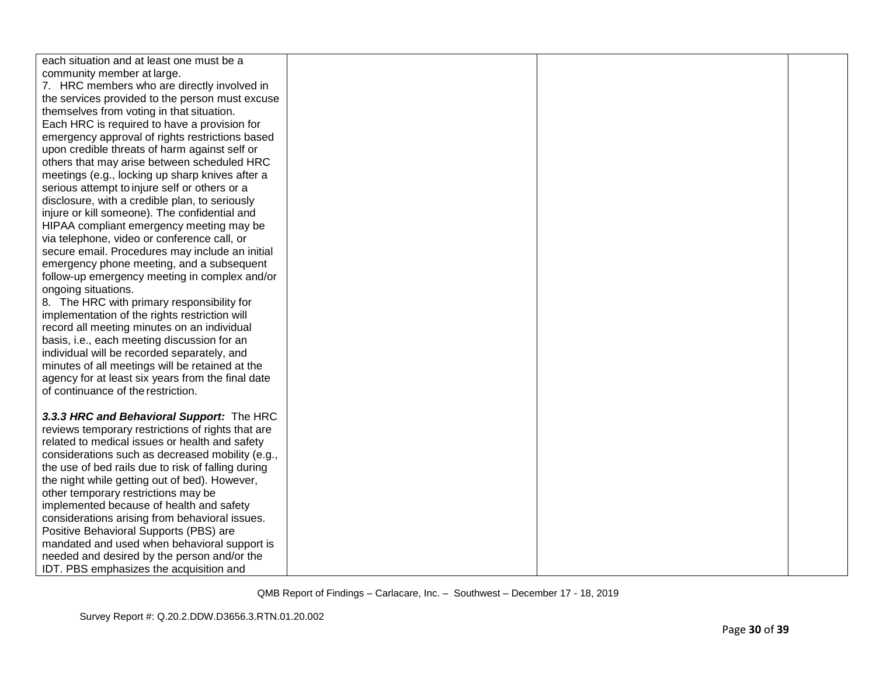| each situation and at least one must be a          |  |  |
|----------------------------------------------------|--|--|
| community member at large.                         |  |  |
| 7. HRC members who are directly involved in        |  |  |
| the services provided to the person must excuse    |  |  |
| themselves from voting in that situation.          |  |  |
| Each HRC is required to have a provision for       |  |  |
| emergency approval of rights restrictions based    |  |  |
| upon credible threats of harm against self or      |  |  |
| others that may arise between scheduled HRC        |  |  |
| meetings (e.g., locking up sharp knives after a    |  |  |
| serious attempt to injure self or others or a      |  |  |
| disclosure, with a credible plan, to seriously     |  |  |
| injure or kill someone). The confidential and      |  |  |
| HIPAA compliant emergency meeting may be           |  |  |
| via telephone, video or conference call, or        |  |  |
| secure email. Procedures may include an initial    |  |  |
| emergency phone meeting, and a subsequent          |  |  |
| follow-up emergency meeting in complex and/or      |  |  |
| ongoing situations.                                |  |  |
| 8. The HRC with primary responsibility for         |  |  |
| implementation of the rights restriction will      |  |  |
| record all meeting minutes on an individual        |  |  |
| basis, i.e., each meeting discussion for an        |  |  |
| individual will be recorded separately, and        |  |  |
| minutes of all meetings will be retained at the    |  |  |
| agency for at least six years from the final date  |  |  |
| of continuance of the restriction.                 |  |  |
|                                                    |  |  |
| 3.3.3 HRC and Behavioral Support: The HRC          |  |  |
| reviews temporary restrictions of rights that are  |  |  |
| related to medical issues or health and safety     |  |  |
| considerations such as decreased mobility (e.g.,   |  |  |
| the use of bed rails due to risk of falling during |  |  |
| the night while getting out of bed). However,      |  |  |
| other temporary restrictions may be                |  |  |
| implemented because of health and safety           |  |  |
| considerations arising from behavioral issues.     |  |  |
| Positive Behavioral Supports (PBS) are             |  |  |
| mandated and used when behavioral support is       |  |  |
| needed and desired by the person and/or the        |  |  |
| IDT. PBS emphasizes the acquisition and            |  |  |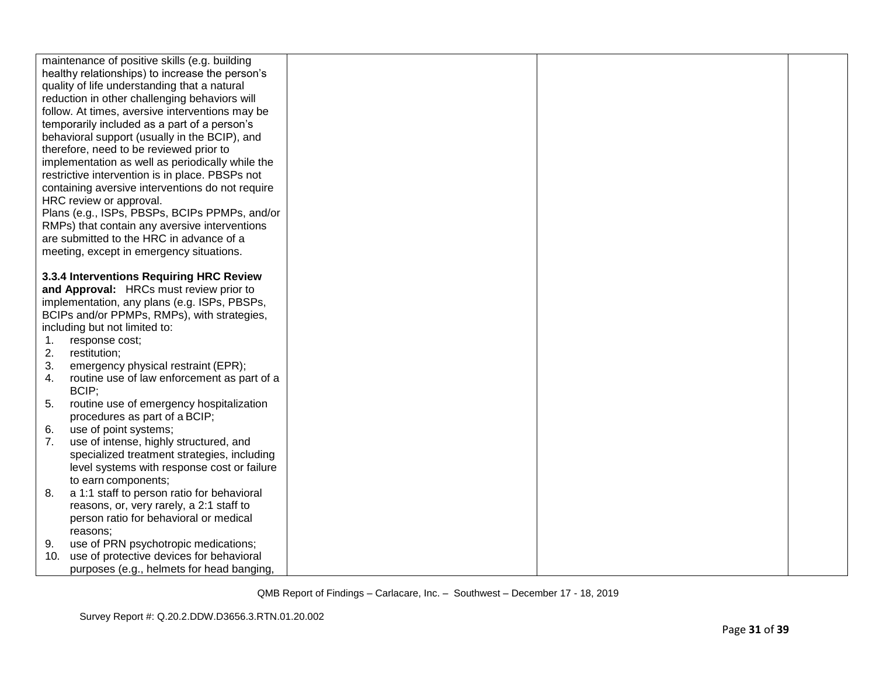|     | maintenance of positive skills (e.g. building    |  |  |
|-----|--------------------------------------------------|--|--|
|     | healthy relationships) to increase the person's  |  |  |
|     | quality of life understanding that a natural     |  |  |
|     | reduction in other challenging behaviors will    |  |  |
|     | follow. At times, aversive interventions may be  |  |  |
|     | temporarily included as a part of a person's     |  |  |
|     | behavioral support (usually in the BCIP), and    |  |  |
|     | therefore, need to be reviewed prior to          |  |  |
|     | implementation as well as periodically while the |  |  |
|     | restrictive intervention is in place. PBSPs not  |  |  |
|     | containing aversive interventions do not require |  |  |
|     | HRC review or approval.                          |  |  |
|     | Plans (e.g., ISPs, PBSPs, BCIPs PPMPs, and/or    |  |  |
|     | RMPs) that contain any aversive interventions    |  |  |
|     | are submitted to the HRC in advance of a         |  |  |
|     | meeting, except in emergency situations.         |  |  |
|     |                                                  |  |  |
|     | 3.3.4 Interventions Requiring HRC Review         |  |  |
|     | and Approval: HRCs must review prior to          |  |  |
|     | implementation, any plans (e.g. ISPs, PBSPs,     |  |  |
|     | BCIPs and/or PPMPs, RMPs), with strategies,      |  |  |
|     | including but not limited to:                    |  |  |
| 1.  | response cost;                                   |  |  |
| 2.  | restitution;                                     |  |  |
| 3.  | emergency physical restraint (EPR);              |  |  |
| 4.  | routine use of law enforcement as part of a      |  |  |
|     | BCIP;                                            |  |  |
| 5.  | routine use of emergency hospitalization         |  |  |
|     | procedures as part of a BCIP;                    |  |  |
| 6.  | use of point systems;                            |  |  |
| 7.  | use of intense, highly structured, and           |  |  |
|     | specialized treatment strategies, including      |  |  |
|     | level systems with response cost or failure      |  |  |
|     | to earn components;                              |  |  |
| 8.  | a 1:1 staff to person ratio for behavioral       |  |  |
|     | reasons, or, very rarely, a 2:1 staff to         |  |  |
|     | person ratio for behavioral or medical           |  |  |
|     | reasons;                                         |  |  |
| 9.  | use of PRN psychotropic medications;             |  |  |
| 10. | use of protective devices for behavioral         |  |  |
|     | purposes (e.g., helmets for head banging,        |  |  |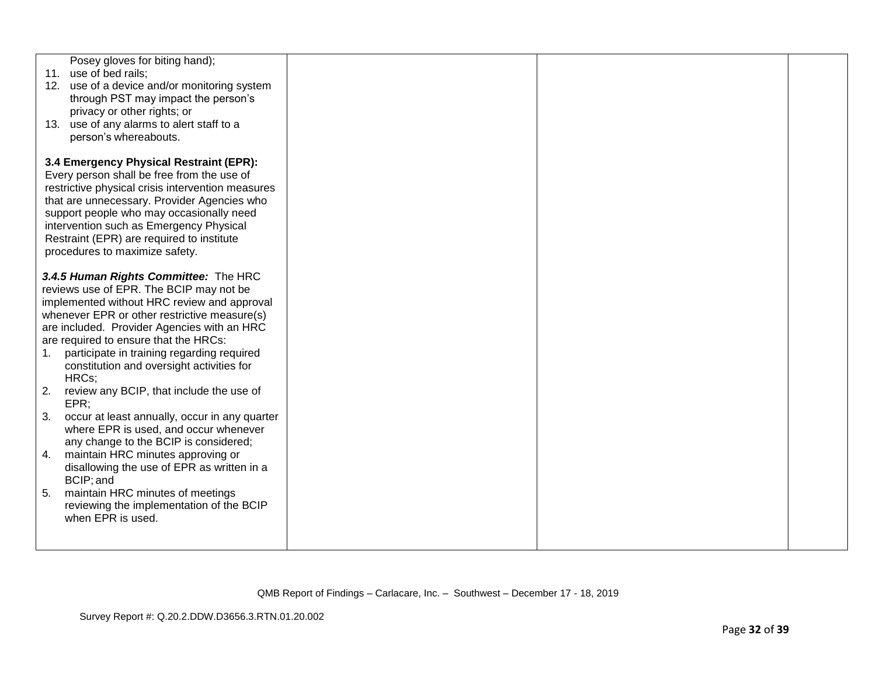|                                 | Posey gloves for biting hand);<br>11. use of bed rails;<br>12. use of a device and/or monitoring system<br>through PST may impact the person's<br>privacy or other rights; or<br>13. use of any alarms to alert staff to a<br>person's whereabouts.                                                                                                                                                                                                                                                                                                                                                                                                                                                                                                                     |  |  |
|---------------------------------|-------------------------------------------------------------------------------------------------------------------------------------------------------------------------------------------------------------------------------------------------------------------------------------------------------------------------------------------------------------------------------------------------------------------------------------------------------------------------------------------------------------------------------------------------------------------------------------------------------------------------------------------------------------------------------------------------------------------------------------------------------------------------|--|--|
|                                 | 3.4 Emergency Physical Restraint (EPR):<br>Every person shall be free from the use of<br>restrictive physical crisis intervention measures<br>that are unnecessary. Provider Agencies who<br>support people who may occasionally need<br>intervention such as Emergency Physical<br>Restraint (EPR) are required to institute<br>procedures to maximize safety.                                                                                                                                                                                                                                                                                                                                                                                                         |  |  |
| $1_{1}$<br>2.<br>3.<br>4.<br>5. | 3.4.5 Human Rights Committee: The HRC<br>reviews use of EPR. The BCIP may not be<br>implemented without HRC review and approval<br>whenever EPR or other restrictive measure(s)<br>are included. Provider Agencies with an HRC<br>are required to ensure that the HRCs:<br>participate in training regarding required<br>constitution and oversight activities for<br>HRCs;<br>review any BCIP, that include the use of<br>EPR;<br>occur at least annually, occur in any quarter<br>where EPR is used, and occur whenever<br>any change to the BCIP is considered;<br>maintain HRC minutes approving or<br>disallowing the use of EPR as written in a<br>BCIP; and<br>maintain HRC minutes of meetings<br>reviewing the implementation of the BCIP<br>when EPR is used. |  |  |
|                                 |                                                                                                                                                                                                                                                                                                                                                                                                                                                                                                                                                                                                                                                                                                                                                                         |  |  |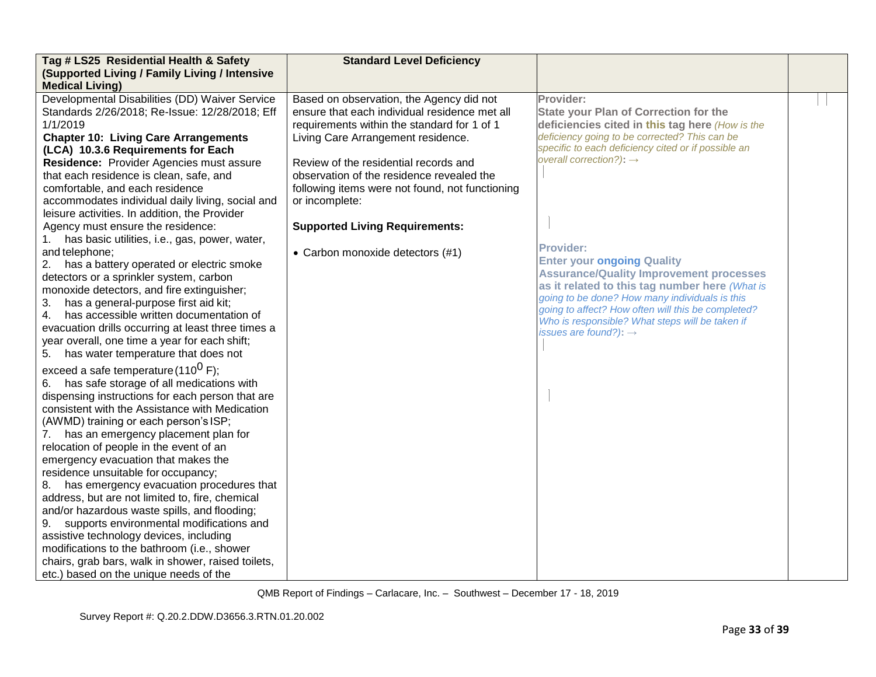| Tag # LS25 Residential Health & Safety              | <b>Standard Level Deficiency</b>                |                                                                                                  |  |
|-----------------------------------------------------|-------------------------------------------------|--------------------------------------------------------------------------------------------------|--|
| (Supported Living / Family Living / Intensive       |                                                 |                                                                                                  |  |
| <b>Medical Living)</b>                              |                                                 |                                                                                                  |  |
| Developmental Disabilities (DD) Waiver Service      | Based on observation, the Agency did not        | Provider:                                                                                        |  |
| Standards 2/26/2018; Re-Issue: 12/28/2018; Eff      | ensure that each individual residence met all   | <b>State your Plan of Correction for the</b>                                                     |  |
| 1/1/2019                                            | requirements within the standard for 1 of 1     | deficiencies cited in this tag here (How is the                                                  |  |
| <b>Chapter 10: Living Care Arrangements</b>         | Living Care Arrangement residence.              | deficiency going to be corrected? This can be                                                    |  |
| (LCA) 10.3.6 Requirements for Each                  |                                                 | specific to each deficiency cited or if possible an                                              |  |
| Residence: Provider Agencies must assure            | Review of the residential records and           | overall correction?): $\rightarrow$                                                              |  |
| that each residence is clean, safe, and             | observation of the residence revealed the       |                                                                                                  |  |
| comfortable, and each residence                     | following items were not found, not functioning |                                                                                                  |  |
| accommodates individual daily living, social and    | or incomplete:                                  |                                                                                                  |  |
| leisure activities. In addition, the Provider       |                                                 |                                                                                                  |  |
| Agency must ensure the residence:                   | <b>Supported Living Requirements:</b>           |                                                                                                  |  |
| has basic utilities, i.e., gas, power, water,<br>1. |                                                 |                                                                                                  |  |
| and telephone;                                      | • Carbon monoxide detectors (#1)                | <b>Provider:</b>                                                                                 |  |
| has a battery operated or electric smoke<br>2.      |                                                 | <b>Enter your ongoing Quality</b>                                                                |  |
| detectors or a sprinkler system, carbon             |                                                 | <b>Assurance/Quality Improvement processes</b><br>as it related to this tag number here (What is |  |
| monoxide detectors, and fire extinguisher;          |                                                 | going to be done? How many individuals is this                                                   |  |
| has a general-purpose first aid kit;<br>3.          |                                                 | going to affect? How often will this be completed?                                               |  |
| has accessible written documentation of<br>4.       |                                                 | Who is responsible? What steps will be taken if                                                  |  |
| evacuation drills occurring at least three times a  |                                                 | issues are found?): $\rightarrow$                                                                |  |
| year overall, one time a year for each shift;       |                                                 |                                                                                                  |  |
| has water temperature that does not<br>5.           |                                                 |                                                                                                  |  |
| exceed a safe temperature (110 <sup>0</sup> F);     |                                                 |                                                                                                  |  |
| has safe storage of all medications with<br>6.      |                                                 |                                                                                                  |  |
| dispensing instructions for each person that are    |                                                 |                                                                                                  |  |
| consistent with the Assistance with Medication      |                                                 |                                                                                                  |  |
| (AWMD) training or each person's ISP;               |                                                 |                                                                                                  |  |
| has an emergency placement plan for<br>7.           |                                                 |                                                                                                  |  |
| relocation of people in the event of an             |                                                 |                                                                                                  |  |
| emergency evacuation that makes the                 |                                                 |                                                                                                  |  |
| residence unsuitable for occupancy;                 |                                                 |                                                                                                  |  |
| has emergency evacuation procedures that<br>8.      |                                                 |                                                                                                  |  |
| address, but are not limited to, fire, chemical     |                                                 |                                                                                                  |  |
| and/or hazardous waste spills, and flooding;        |                                                 |                                                                                                  |  |
| supports environmental modifications and<br>9.      |                                                 |                                                                                                  |  |
| assistive technology devices, including             |                                                 |                                                                                                  |  |
| modifications to the bathroom (i.e., shower         |                                                 |                                                                                                  |  |
| chairs, grab bars, walk in shower, raised toilets,  |                                                 |                                                                                                  |  |
| etc.) based on the unique needs of the              |                                                 |                                                                                                  |  |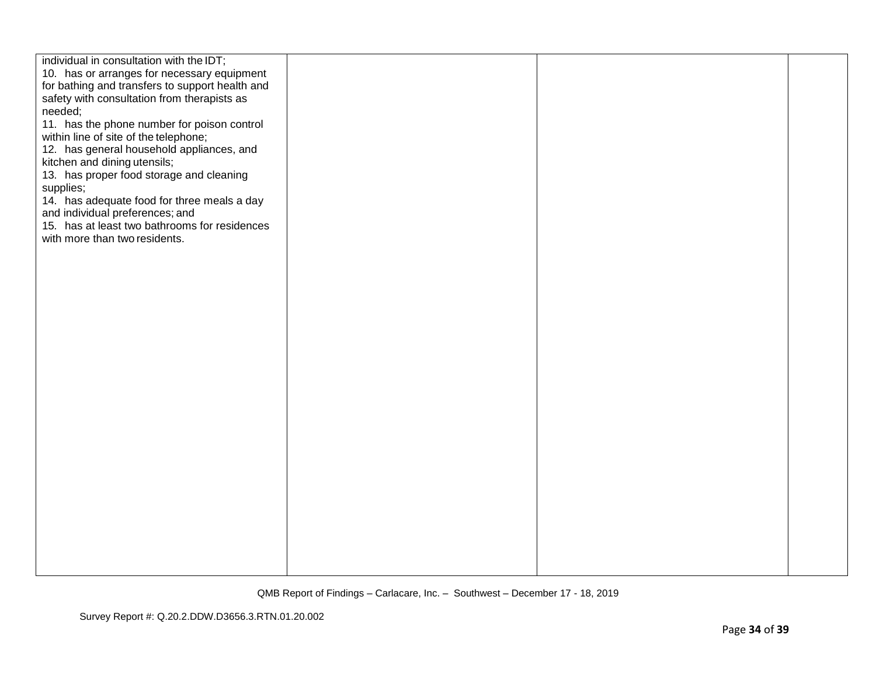| individual in consultation with the IDT;<br>10. has or arranges for necessary equipment<br>for bathing and transfers to support health and<br>safety with consultation from therapists as<br>needed;<br>11. has the phone number for poison control<br>within line of site of the telephone;<br>12. has general household appliances, and<br>kitchen and dining utensils;<br>13. has proper food storage and cleaning<br>supplies;<br>14. has adequate food for three meals a day<br>and individual preferences; and<br>15. has at least two bathrooms for residences<br>with more than two residents. |  |  |
|--------------------------------------------------------------------------------------------------------------------------------------------------------------------------------------------------------------------------------------------------------------------------------------------------------------------------------------------------------------------------------------------------------------------------------------------------------------------------------------------------------------------------------------------------------------------------------------------------------|--|--|
|                                                                                                                                                                                                                                                                                                                                                                                                                                                                                                                                                                                                        |  |  |
|                                                                                                                                                                                                                                                                                                                                                                                                                                                                                                                                                                                                        |  |  |
|                                                                                                                                                                                                                                                                                                                                                                                                                                                                                                                                                                                                        |  |  |
|                                                                                                                                                                                                                                                                                                                                                                                                                                                                                                                                                                                                        |  |  |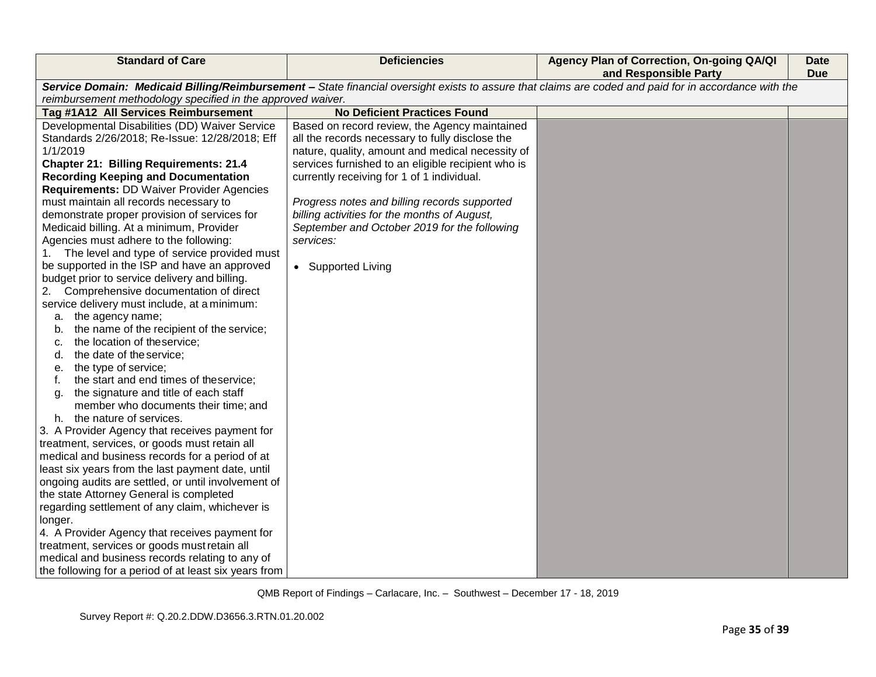| <b>Standard of Care</b>                                                                                                                                                                                              | <b>Deficiencies</b>                                | Agency Plan of Correction, On-going QA/QI<br>and Responsible Party | <b>Date</b><br><b>Due</b> |
|----------------------------------------------------------------------------------------------------------------------------------------------------------------------------------------------------------------------|----------------------------------------------------|--------------------------------------------------------------------|---------------------------|
|                                                                                                                                                                                                                      |                                                    |                                                                    |                           |
| Service Domain: Medicaid Billing/Reimbursement - State financial oversight exists to assure that claims are coded and paid for in accordance with the<br>reimbursement methodology specified in the approved waiver. |                                                    |                                                                    |                           |
| Tag #1A12 All Services Reimbursement                                                                                                                                                                                 | <b>No Deficient Practices Found</b>                |                                                                    |                           |
| Developmental Disabilities (DD) Waiver Service                                                                                                                                                                       | Based on record review, the Agency maintained      |                                                                    |                           |
| Standards 2/26/2018; Re-Issue: 12/28/2018; Eff                                                                                                                                                                       | all the records necessary to fully disclose the    |                                                                    |                           |
| 1/1/2019                                                                                                                                                                                                             | nature, quality, amount and medical necessity of   |                                                                    |                           |
| <b>Chapter 21: Billing Requirements: 21.4</b>                                                                                                                                                                        | services furnished to an eligible recipient who is |                                                                    |                           |
| <b>Recording Keeping and Documentation</b>                                                                                                                                                                           | currently receiving for 1 of 1 individual.         |                                                                    |                           |
| <b>Requirements: DD Waiver Provider Agencies</b>                                                                                                                                                                     |                                                    |                                                                    |                           |
| must maintain all records necessary to                                                                                                                                                                               | Progress notes and billing records supported       |                                                                    |                           |
| demonstrate proper provision of services for                                                                                                                                                                         | billing activities for the months of August,       |                                                                    |                           |
| Medicaid billing. At a minimum, Provider                                                                                                                                                                             | September and October 2019 for the following       |                                                                    |                           |
| Agencies must adhere to the following:                                                                                                                                                                               | services:                                          |                                                                    |                           |
| The level and type of service provided must<br>1.                                                                                                                                                                    |                                                    |                                                                    |                           |
| be supported in the ISP and have an approved                                                                                                                                                                         | • Supported Living                                 |                                                                    |                           |
| budget prior to service delivery and billing.                                                                                                                                                                        |                                                    |                                                                    |                           |
| Comprehensive documentation of direct<br>2.                                                                                                                                                                          |                                                    |                                                                    |                           |
| service delivery must include, at a minimum:                                                                                                                                                                         |                                                    |                                                                    |                           |
| a. the agency name;                                                                                                                                                                                                  |                                                    |                                                                    |                           |
| the name of the recipient of the service;<br>b.                                                                                                                                                                      |                                                    |                                                                    |                           |
| the location of theservice;<br>c.                                                                                                                                                                                    |                                                    |                                                                    |                           |
| the date of the service;<br>d.                                                                                                                                                                                       |                                                    |                                                                    |                           |
| the type of service;<br>е.                                                                                                                                                                                           |                                                    |                                                                    |                           |
| the start and end times of theservice;<br>f.                                                                                                                                                                         |                                                    |                                                                    |                           |
| the signature and title of each staff<br>a.                                                                                                                                                                          |                                                    |                                                                    |                           |
| member who documents their time; and                                                                                                                                                                                 |                                                    |                                                                    |                           |
| h. the nature of services.                                                                                                                                                                                           |                                                    |                                                                    |                           |
| 3. A Provider Agency that receives payment for                                                                                                                                                                       |                                                    |                                                                    |                           |
| treatment, services, or goods must retain all<br>medical and business records for a period of at                                                                                                                     |                                                    |                                                                    |                           |
|                                                                                                                                                                                                                      |                                                    |                                                                    |                           |
| least six years from the last payment date, until                                                                                                                                                                    |                                                    |                                                                    |                           |
| ongoing audits are settled, or until involvement of<br>the state Attorney General is completed                                                                                                                       |                                                    |                                                                    |                           |
| regarding settlement of any claim, whichever is                                                                                                                                                                      |                                                    |                                                                    |                           |
| longer.                                                                                                                                                                                                              |                                                    |                                                                    |                           |
| 4. A Provider Agency that receives payment for                                                                                                                                                                       |                                                    |                                                                    |                           |
| treatment, services or goods must retain all                                                                                                                                                                         |                                                    |                                                                    |                           |
| medical and business records relating to any of                                                                                                                                                                      |                                                    |                                                                    |                           |
| the following for a period of at least six years from                                                                                                                                                                |                                                    |                                                                    |                           |
|                                                                                                                                                                                                                      |                                                    |                                                                    |                           |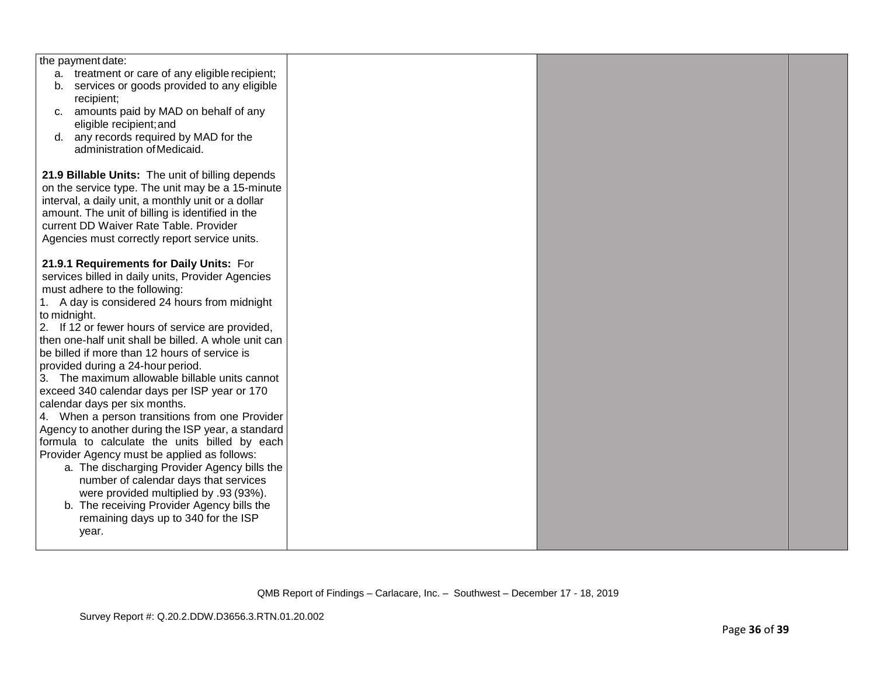| the payment date:                                    |  |  |
|------------------------------------------------------|--|--|
| a. treatment or care of any eligible recipient;      |  |  |
| services or goods provided to any eligible<br>b.     |  |  |
| recipient;                                           |  |  |
| amounts paid by MAD on behalf of any<br>C.           |  |  |
| eligible recipient; and                              |  |  |
| d. any records required by MAD for the               |  |  |
| administration of Medicaid.                          |  |  |
|                                                      |  |  |
| 21.9 Billable Units: The unit of billing depends     |  |  |
|                                                      |  |  |
| on the service type. The unit may be a 15-minute     |  |  |
| interval, a daily unit, a monthly unit or a dollar   |  |  |
| amount. The unit of billing is identified in the     |  |  |
| current DD Waiver Rate Table. Provider               |  |  |
| Agencies must correctly report service units.        |  |  |
|                                                      |  |  |
| 21.9.1 Requirements for Daily Units: For             |  |  |
| services billed in daily units, Provider Agencies    |  |  |
| must adhere to the following:                        |  |  |
| 1. A day is considered 24 hours from midnight        |  |  |
| to midnight.                                         |  |  |
| 2. If 12 or fewer hours of service are provided,     |  |  |
| then one-half unit shall be billed. A whole unit can |  |  |
| be billed if more than 12 hours of service is        |  |  |
| provided during a 24-hour period.                    |  |  |
| 3. The maximum allowable billable units cannot       |  |  |
| exceed 340 calendar days per ISP year or 170         |  |  |
| calendar days per six months.                        |  |  |
| 4. When a person transitions from one Provider       |  |  |
| Agency to another during the ISP year, a standard    |  |  |
| formula to calculate the units billed by each        |  |  |
|                                                      |  |  |
| Provider Agency must be applied as follows:          |  |  |
| a. The discharging Provider Agency bills the         |  |  |
| number of calendar days that services                |  |  |
| were provided multiplied by .93 (93%).               |  |  |
| b. The receiving Provider Agency bills the           |  |  |
| remaining days up to 340 for the ISP                 |  |  |
| year.                                                |  |  |
|                                                      |  |  |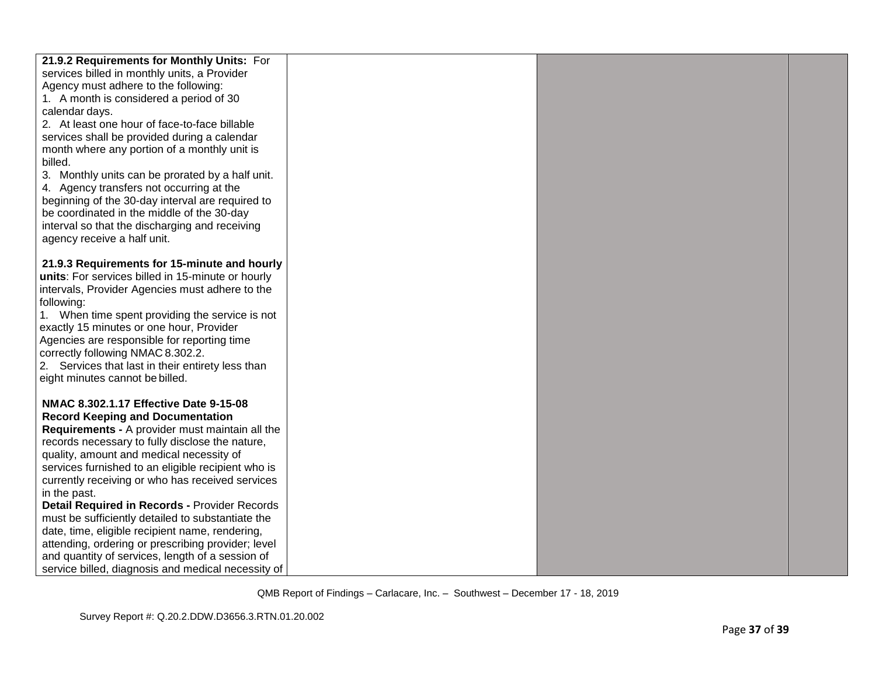| 21.9.2 Requirements for Monthly Units: For         |  |  |
|----------------------------------------------------|--|--|
| services billed in monthly units, a Provider       |  |  |
| Agency must adhere to the following:               |  |  |
| 1. A month is considered a period of 30            |  |  |
| calendar days.                                     |  |  |
| 2. At least one hour of face-to-face billable      |  |  |
| services shall be provided during a calendar       |  |  |
| month where any portion of a monthly unit is       |  |  |
| billed.                                            |  |  |
| 3. Monthly units can be prorated by a half unit.   |  |  |
| 4. Agency transfers not occurring at the           |  |  |
| beginning of the 30-day interval are required to   |  |  |
| be coordinated in the middle of the 30-day         |  |  |
| interval so that the discharging and receiving     |  |  |
| agency receive a half unit.                        |  |  |
|                                                    |  |  |
| 21.9.3 Requirements for 15-minute and hourly       |  |  |
| units: For services billed in 15-minute or hourly  |  |  |
| intervals, Provider Agencies must adhere to the    |  |  |
| following:                                         |  |  |
| 1. When time spent providing the service is not    |  |  |
| exactly 15 minutes or one hour, Provider           |  |  |
| Agencies are responsible for reporting time        |  |  |
| correctly following NMAC 8.302.2.                  |  |  |
| 2. Services that last in their entirety less than  |  |  |
| eight minutes cannot be billed.                    |  |  |
|                                                    |  |  |
| NMAC 8.302.1.17 Effective Date 9-15-08             |  |  |
| <b>Record Keeping and Documentation</b>            |  |  |
| Requirements - A provider must maintain all the    |  |  |
| records necessary to fully disclose the nature,    |  |  |
| quality, amount and medical necessity of           |  |  |
| services furnished to an eligible recipient who is |  |  |
| currently receiving or who has received services   |  |  |
| in the past.                                       |  |  |
| Detail Required in Records - Provider Records      |  |  |
| must be sufficiently detailed to substantiate the  |  |  |
| date, time, eligible recipient name, rendering,    |  |  |
| attending, ordering or prescribing provider; level |  |  |
| and quantity of services, length of a session of   |  |  |
| service billed, diagnosis and medical necessity of |  |  |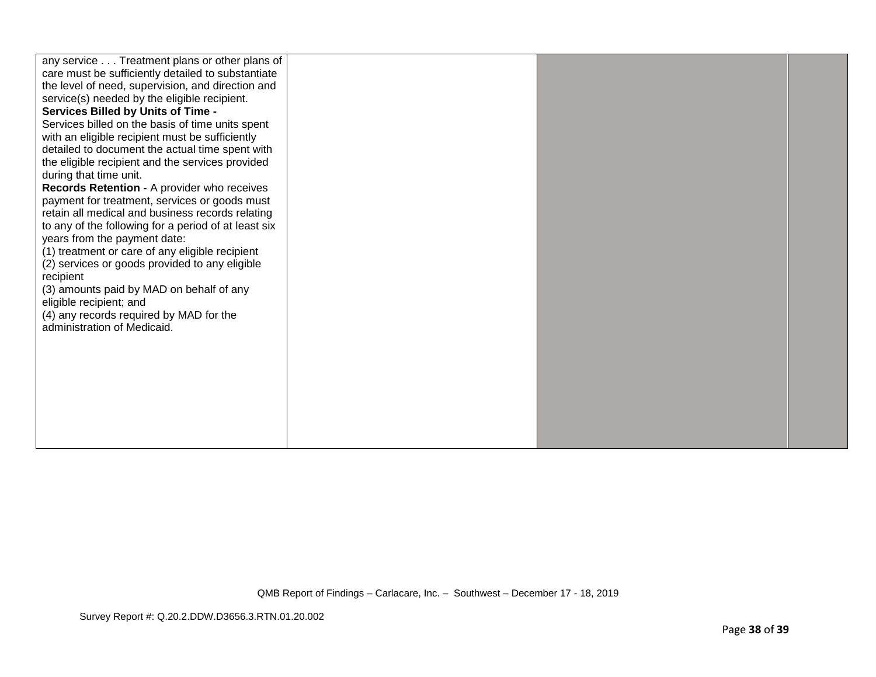| any service Treatment plans or other plans of<br>care must be sufficiently detailed to substantiate<br>the level of need, supervision, and direction and<br>service(s) needed by the eligible recipient.<br><b>Services Billed by Units of Time -</b><br>Services billed on the basis of time units spent<br>with an eligible recipient must be sufficiently<br>detailed to document the actual time spent with<br>the eligible recipient and the services provided<br>during that time unit.<br>Records Retention - A provider who receives<br>payment for treatment, services or goods must<br>retain all medical and business records relating<br>to any of the following for a period of at least six<br>years from the payment date:<br>(1) treatment or care of any eligible recipient<br>(2) services or goods provided to any eligible<br>recipient<br>(3) amounts paid by MAD on behalf of any<br>eligible recipient; and<br>(4) any records required by MAD for the<br>administration of Medicaid. |  |  |
|--------------------------------------------------------------------------------------------------------------------------------------------------------------------------------------------------------------------------------------------------------------------------------------------------------------------------------------------------------------------------------------------------------------------------------------------------------------------------------------------------------------------------------------------------------------------------------------------------------------------------------------------------------------------------------------------------------------------------------------------------------------------------------------------------------------------------------------------------------------------------------------------------------------------------------------------------------------------------------------------------------------|--|--|
|                                                                                                                                                                                                                                                                                                                                                                                                                                                                                                                                                                                                                                                                                                                                                                                                                                                                                                                                                                                                              |  |  |